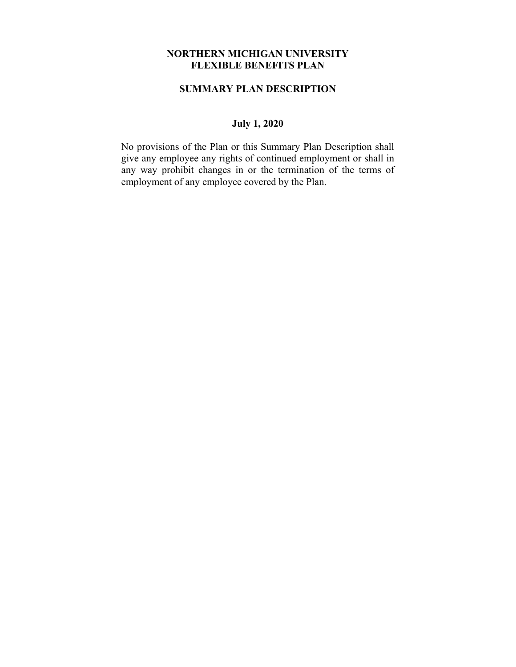#### **NORTHERN MICHIGAN UNIVERSITY FLEXIBLE BENEFITS PLAN**

### **SUMMARY PLAN DESCRIPTION**

# **July 1, 2020**

No provisions of the Plan or this Summary Plan Description shall give any employee any rights of continued employment or shall in any way prohibit changes in or the termination of the terms of employment of any employee covered by the Plan.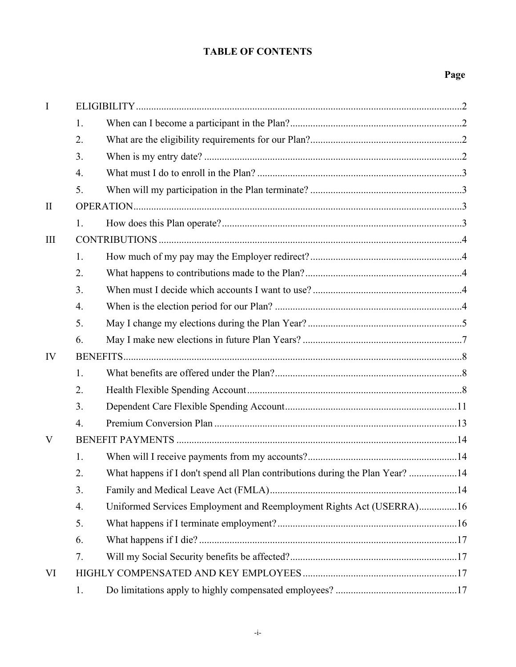# **TABLE OF CONTENTS**

# **Page**

| $\mathbf I$ |    |                                                                               |  |
|-------------|----|-------------------------------------------------------------------------------|--|
|             | 1. |                                                                               |  |
|             | 2. |                                                                               |  |
|             | 3. |                                                                               |  |
|             | 4. |                                                                               |  |
|             | 5. |                                                                               |  |
| $\rm II$    |    |                                                                               |  |
|             | 1. |                                                                               |  |
| III         |    |                                                                               |  |
|             | 1. |                                                                               |  |
|             | 2. |                                                                               |  |
|             | 3. |                                                                               |  |
|             | 4. |                                                                               |  |
|             | 5. |                                                                               |  |
|             | 6. |                                                                               |  |
| IV          |    |                                                                               |  |
|             | 1. |                                                                               |  |
|             | 2. |                                                                               |  |
|             | 3. |                                                                               |  |
|             | 4. |                                                                               |  |
| V           |    |                                                                               |  |
|             | 1. |                                                                               |  |
|             | 2. | What happens if I don't spend all Plan contributions during the Plan Year? 14 |  |
|             | 3. |                                                                               |  |
|             | 4. | Uniformed Services Employment and Reemployment Rights Act (USERRA)16          |  |
|             | 5. |                                                                               |  |
|             | 6. |                                                                               |  |
|             | 7. |                                                                               |  |
| VI          |    |                                                                               |  |
|             | 1. |                                                                               |  |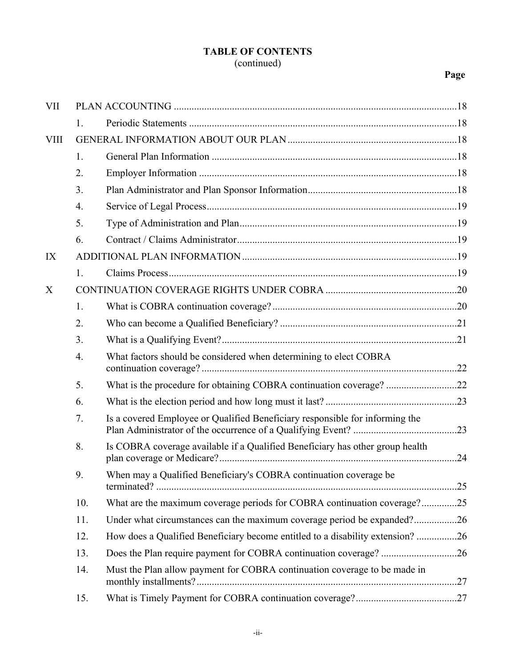# **TABLE OF CONTENTS** (continued)

# **Page**

| <b>VII</b>  |     |                                                                                |  |
|-------------|-----|--------------------------------------------------------------------------------|--|
|             | 1.  |                                                                                |  |
| <b>VIII</b> |     |                                                                                |  |
|             | 1.  |                                                                                |  |
|             | 2.  |                                                                                |  |
|             | 3.  |                                                                                |  |
|             | 4.  |                                                                                |  |
|             | 5.  |                                                                                |  |
|             | 6.  |                                                                                |  |
| IX          |     |                                                                                |  |
|             | 1.  |                                                                                |  |
| X           |     |                                                                                |  |
|             | 1.  |                                                                                |  |
|             | 2.  |                                                                                |  |
|             | 3.  |                                                                                |  |
|             | 4.  | What factors should be considered when determining to elect COBRA              |  |
|             | 5.  | What is the procedure for obtaining COBRA continuation coverage? 22            |  |
|             | 6.  |                                                                                |  |
|             | 7.  | Is a covered Employee or Qualified Beneficiary responsible for informing the   |  |
|             | 8.  | Is COBRA coverage available if a Qualified Beneficiary has other group health  |  |
|             | 9.  | When may a Qualified Beneficiary's COBRA continuation coverage be              |  |
|             | 10. | What are the maximum coverage periods for COBRA continuation coverage?25       |  |
|             | 11. | Under what circumstances can the maximum coverage period be expanded?26        |  |
|             | 12. | How does a Qualified Beneficiary become entitled to a disability extension? 26 |  |
|             | 13. |                                                                                |  |
|             | 14. | Must the Plan allow payment for COBRA continuation coverage to be made in      |  |
|             | 15. |                                                                                |  |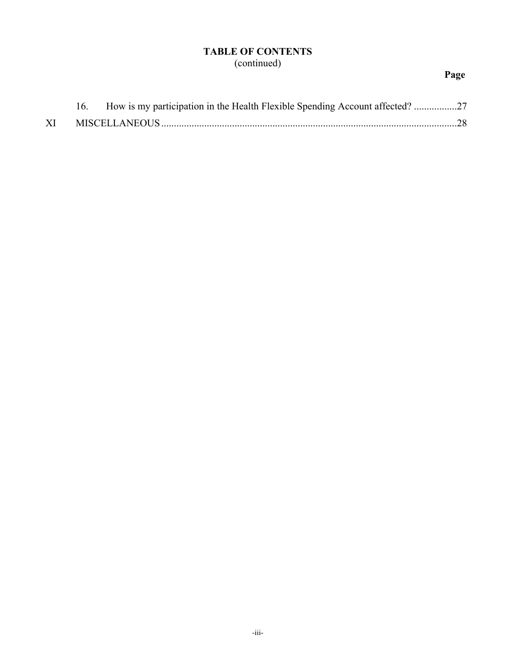# **TABLE OF CONTENTS** (continued)

# **Page**

|  | 16. How is my participation in the Health Flexible Spending Account affected? 27 |  |
|--|----------------------------------------------------------------------------------|--|
|  |                                                                                  |  |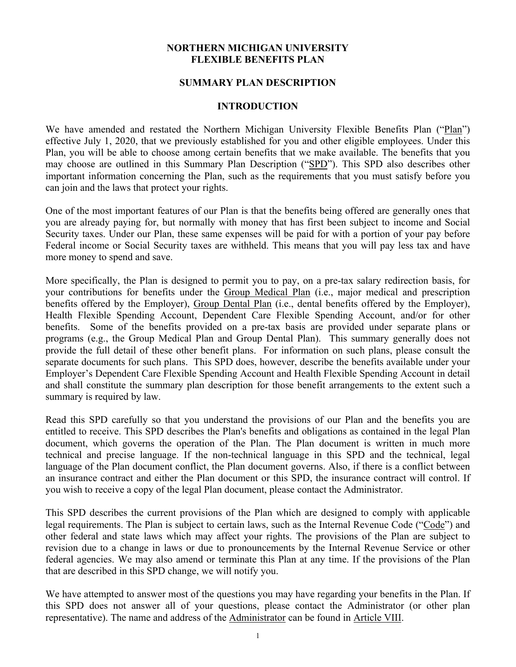#### **NORTHERN MICHIGAN UNIVERSITY FLEXIBLE BENEFITS PLAN**

#### **SUMMARY PLAN DESCRIPTION**

#### **INTRODUCTION**

We have amended and restated the Northern Michigan University Flexible Benefits Plan ("Plan") effective July 1, 2020, that we previously established for you and other eligible employees. Under this Plan, you will be able to choose among certain benefits that we make available. The benefits that you may choose are outlined in this Summary Plan Description ("SPD"). This SPD also describes other important information concerning the Plan, such as the requirements that you must satisfy before you can join and the laws that protect your rights.

One of the most important features of our Plan is that the benefits being offered are generally ones that you are already paying for, but normally with money that has first been subject to income and Social Security taxes. Under our Plan, these same expenses will be paid for with a portion of your pay before Federal income or Social Security taxes are withheld. This means that you will pay less tax and have more money to spend and save.

More specifically, the Plan is designed to permit you to pay, on a pre-tax salary redirection basis, for your contributions for benefits under the Group Medical Plan (i.e., major medical and prescription benefits offered by the Employer), Group Dental Plan (i.e., dental benefits offered by the Employer), Health Flexible Spending Account, Dependent Care Flexible Spending Account, and/or for other benefits. Some of the benefits provided on a pre-tax basis are provided under separate plans or programs (e.g., the Group Medical Plan and Group Dental Plan). This summary generally does not provide the full detail of these other benefit plans. For information on such plans, please consult the separate documents for such plans. This SPD does, however, describe the benefits available under your Employer's Dependent Care Flexible Spending Account and Health Flexible Spending Account in detail and shall constitute the summary plan description for those benefit arrangements to the extent such a summary is required by law.

Read this SPD carefully so that you understand the provisions of our Plan and the benefits you are entitled to receive. This SPD describes the Plan's benefits and obligations as contained in the legal Plan document, which governs the operation of the Plan. The Plan document is written in much more technical and precise language. If the non-technical language in this SPD and the technical, legal language of the Plan document conflict, the Plan document governs. Also, if there is a conflict between an insurance contract and either the Plan document or this SPD, the insurance contract will control. If you wish to receive a copy of the legal Plan document, please contact the Administrator.

This SPD describes the current provisions of the Plan which are designed to comply with applicable legal requirements. The Plan is subject to certain laws, such as the Internal Revenue Code ("Code") and other federal and state laws which may affect your rights. The provisions of the Plan are subject to revision due to a change in laws or due to pronouncements by the Internal Revenue Service or other federal agencies. We may also amend or terminate this Plan at any time. If the provisions of the Plan that are described in this SPD change, we will notify you.

We have attempted to answer most of the questions you may have regarding your benefits in the Plan. If this SPD does not answer all of your questions, please contact the Administrator (or other plan representative). The name and address of the Administrator can be found in Article VIII.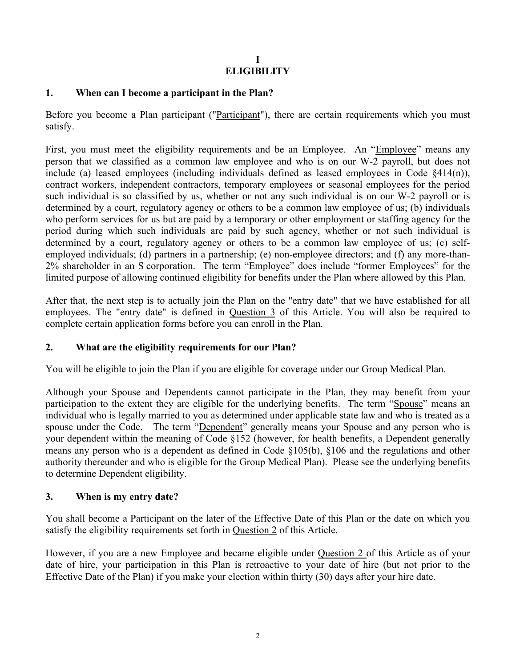# **I ELIGIBILITY**

### **1. When can I become a participant in the Plan?**

Before you become a Plan participant ("Participant"), there are certain requirements which you must satisfy.

First, you must meet the eligibility requirements and be an Employee. An "Employee" means any person that we classified as a common law employee and who is on our W-2 payroll, but does not include (a) leased employees (including individuals defined as leased employees in Code §414(n)), contract workers, independent contractors, temporary employees or seasonal employees for the period such individual is so classified by us, whether or not any such individual is on our W-2 payroll or is determined by a court, regulatory agency or others to be a common law employee of us; (b) individuals who perform services for us but are paid by a temporary or other employment or staffing agency for the period during which such individuals are paid by such agency, whether or not such individual is determined by a court, regulatory agency or others to be a common law employee of us; (c) selfemployed individuals; (d) partners in a partnership; (e) non-employee directors; and (f) any more-than-2% shareholder in an S corporation. The term "Employee" does include "former Employees" for the limited purpose of allowing continued eligibility for benefits under the Plan where allowed by this Plan.

After that, the next step is to actually join the Plan on the "entry date" that we have established for all employees. The "entry date" is defined in Question 3 of this Article. You will also be required to complete certain application forms before you can enroll in the Plan.

# **2. What are the eligibility requirements for our Plan?**

You will be eligible to join the Plan if you are eligible for coverage under our Group Medical Plan.

Although your Spouse and Dependents cannot participate in the Plan, they may benefit from your participation to the extent they are eligible for the underlying benefits. The term "Spouse" means an individual who is legally married to you as determined under applicable state law and who is treated as a spouse under the Code. The term "Dependent" generally means your Spouse and any person who is your dependent within the meaning of Code §152 (however, for health benefits, a Dependent generally means any person who is a dependent as defined in Code §105(b), §106 and the regulations and other authority thereunder and who is eligible for the Group Medical Plan). Please see the underlying benefits to determine Dependent eligibility.

### **3. When is my entry date?**

You shall become a Participant on the later of the Effective Date of this Plan or the date on which you satisfy the eligibility requirements set forth in Question 2 of this Article.

However, if you are a new Employee and became eligible under Question 2 of this Article as of your date of hire, your participation in this Plan is retroactive to your date of hire (but not prior to the Effective Date of the Plan) if you make your election within thirty (30) days after your hire date.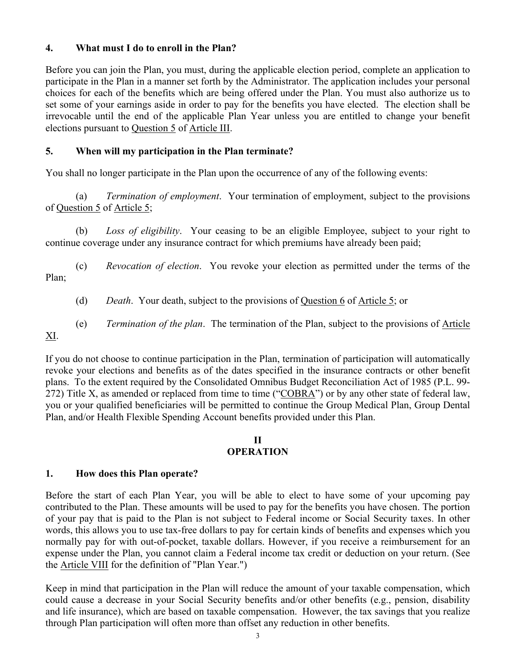### **4. What must I do to enroll in the Plan?**

Before you can join the Plan, you must, during the applicable election period, complete an application to participate in the Plan in a manner set forth by the Administrator. The application includes your personal choices for each of the benefits which are being offered under the Plan. You must also authorize us to set some of your earnings aside in order to pay for the benefits you have elected. The election shall be irrevocable until the end of the applicable Plan Year unless you are entitled to change your benefit elections pursuant to Question 5 of Article III.

### **5. When will my participation in the Plan terminate?**

You shall no longer participate in the Plan upon the occurrence of any of the following events:

(a) *Termination of employment*. Your termination of employment, subject to the provisions of Question 5 of Article 5;

(b) *Loss of eligibility*. Your ceasing to be an eligible Employee, subject to your right to continue coverage under any insurance contract for which premiums have already been paid;

(c) *Revocation of election*. You revoke your election as permitted under the terms of the Plan;

(d) *Death*. Your death, subject to the provisions of Question 6 of Article 5; or

(e) *Termination of the plan*. The termination of the Plan, subject to the provisions of Article

If you do not choose to continue participation in the Plan, termination of participation will automatically revoke your elections and benefits as of the dates specified in the insurance contracts or other benefit plans. To the extent required by the Consolidated Omnibus Budget Reconciliation Act of 1985 (P.L. 99- 272) Title X, as amended or replaced from time to time ("COBRA") or by any other state of federal law, you or your qualified beneficiaries will be permitted to continue the Group Medical Plan, Group Dental Plan, and/or Health Flexible Spending Account benefits provided under this Plan.

#### **II OPERATION**

# **1. How does this Plan operate?**

XI.

Before the start of each Plan Year, you will be able to elect to have some of your upcoming pay contributed to the Plan. These amounts will be used to pay for the benefits you have chosen. The portion of your pay that is paid to the Plan is not subject to Federal income or Social Security taxes. In other words, this allows you to use tax-free dollars to pay for certain kinds of benefits and expenses which you normally pay for with out-of-pocket, taxable dollars. However, if you receive a reimbursement for an expense under the Plan, you cannot claim a Federal income tax credit or deduction on your return. (See the Article VIII for the definition of "Plan Year.")

Keep in mind that participation in the Plan will reduce the amount of your taxable compensation, which could cause a decrease in your Social Security benefits and/or other benefits (e.g., pension, disability and life insurance), which are based on taxable compensation. However, the tax savings that you realize through Plan participation will often more than offset any reduction in other benefits.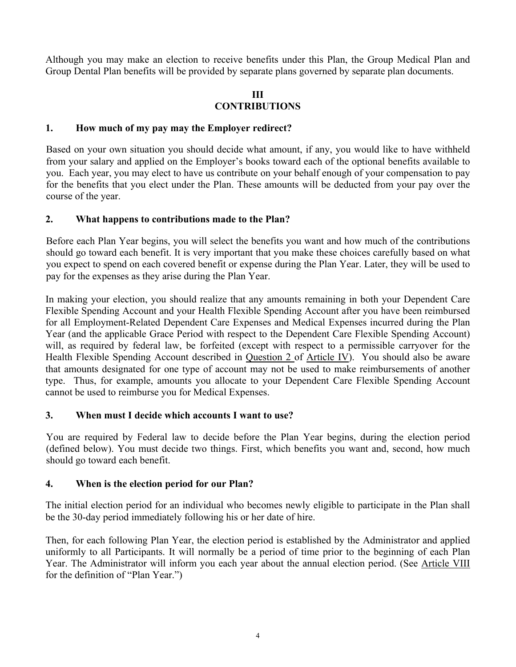Although you may make an election to receive benefits under this Plan, the Group Medical Plan and Group Dental Plan benefits will be provided by separate plans governed by separate plan documents.

#### **III CONTRIBUTIONS**

### **1. How much of my pay may the Employer redirect?**

Based on your own situation you should decide what amount, if any, you would like to have withheld from your salary and applied on the Employer's books toward each of the optional benefits available to you. Each year, you may elect to have us contribute on your behalf enough of your compensation to pay for the benefits that you elect under the Plan. These amounts will be deducted from your pay over the course of the year.

### **2. What happens to contributions made to the Plan?**

Before each Plan Year begins, you will select the benefits you want and how much of the contributions should go toward each benefit. It is very important that you make these choices carefully based on what you expect to spend on each covered benefit or expense during the Plan Year. Later, they will be used to pay for the expenses as they arise during the Plan Year.

In making your election, you should realize that any amounts remaining in both your Dependent Care Flexible Spending Account and your Health Flexible Spending Account after you have been reimbursed for all Employment-Related Dependent Care Expenses and Medical Expenses incurred during the Plan Year (and the applicable Grace Period with respect to the Dependent Care Flexible Spending Account) will, as required by federal law, be forfeited (except with respect to a permissible carryover for the Health Flexible Spending Account described in Question 2 of Article IV). You should also be aware that amounts designated for one type of account may not be used to make reimbursements of another type. Thus, for example, amounts you allocate to your Dependent Care Flexible Spending Account cannot be used to reimburse you for Medical Expenses.

# **3. When must I decide which accounts I want to use?**

You are required by Federal law to decide before the Plan Year begins, during the election period (defined below). You must decide two things. First, which benefits you want and, second, how much should go toward each benefit.

#### **4. When is the election period for our Plan?**

The initial election period for an individual who becomes newly eligible to participate in the Plan shall be the 30-day period immediately following his or her date of hire.

Then, for each following Plan Year, the election period is established by the Administrator and applied uniformly to all Participants. It will normally be a period of time prior to the beginning of each Plan Year. The Administrator will inform you each year about the annual election period. (See Article VIII for the definition of "Plan Year.")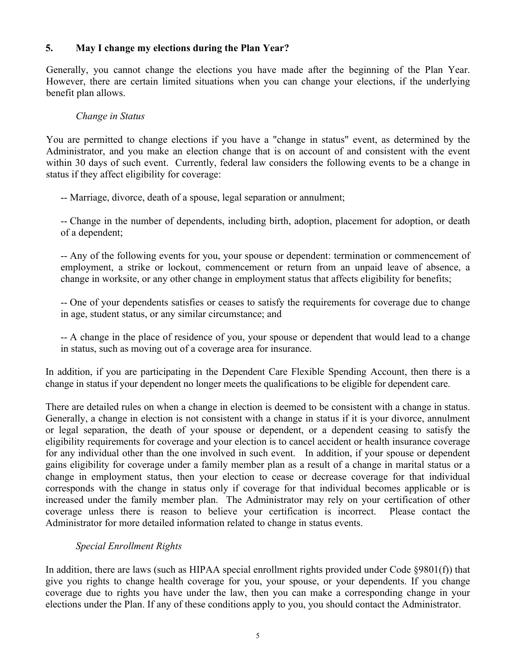# **5. May I change my elections during the Plan Year?**

Generally, you cannot change the elections you have made after the beginning of the Plan Year. However, there are certain limited situations when you can change your elections, if the underlying benefit plan allows.

#### *Change in Status*

You are permitted to change elections if you have a "change in status" event, as determined by the Administrator, and you make an election change that is on account of and consistent with the event within 30 days of such event. Currently, federal law considers the following events to be a change in status if they affect eligibility for coverage:

-- Marriage, divorce, death of a spouse, legal separation or annulment;

-- Change in the number of dependents, including birth, adoption, placement for adoption, or death of a dependent;

-- Any of the following events for you, your spouse or dependent: termination or commencement of employment, a strike or lockout, commencement or return from an unpaid leave of absence, a change in worksite, or any other change in employment status that affects eligibility for benefits;

-- One of your dependents satisfies or ceases to satisfy the requirements for coverage due to change in age, student status, or any similar circumstance; and

-- A change in the place of residence of you, your spouse or dependent that would lead to a change in status, such as moving out of a coverage area for insurance.

In addition, if you are participating in the Dependent Care Flexible Spending Account, then there is a change in status if your dependent no longer meets the qualifications to be eligible for dependent care.

There are detailed rules on when a change in election is deemed to be consistent with a change in status. Generally, a change in election is not consistent with a change in status if it is your divorce, annulment or legal separation, the death of your spouse or dependent, or a dependent ceasing to satisfy the eligibility requirements for coverage and your election is to cancel accident or health insurance coverage for any individual other than the one involved in such event. In addition, if your spouse or dependent gains eligibility for coverage under a family member plan as a result of a change in marital status or a change in employment status, then your election to cease or decrease coverage for that individual corresponds with the change in status only if coverage for that individual becomes applicable or is increased under the family member plan. The Administrator may rely on your certification of other coverage unless there is reason to believe your certification is incorrect. Please contact the Administrator for more detailed information related to change in status events.

# *Special Enrollment Rights*

In addition, there are laws (such as HIPAA special enrollment rights provided under Code §9801(f)) that give you rights to change health coverage for you, your spouse, or your dependents. If you change coverage due to rights you have under the law, then you can make a corresponding change in your elections under the Plan. If any of these conditions apply to you, you should contact the Administrator.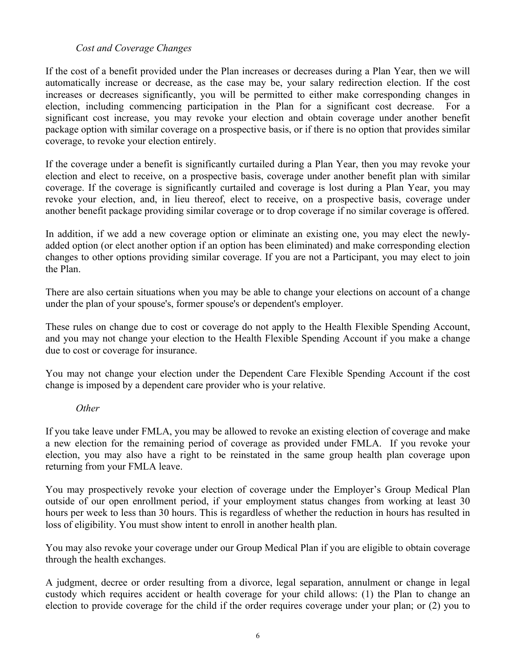### *Cost and Coverage Changes*

If the cost of a benefit provided under the Plan increases or decreases during a Plan Year, then we will automatically increase or decrease, as the case may be, your salary redirection election. If the cost increases or decreases significantly, you will be permitted to either make corresponding changes in election, including commencing participation in the Plan for a significant cost decrease. For a significant cost increase, you may revoke your election and obtain coverage under another benefit package option with similar coverage on a prospective basis, or if there is no option that provides similar coverage, to revoke your election entirely.

If the coverage under a benefit is significantly curtailed during a Plan Year, then you may revoke your election and elect to receive, on a prospective basis, coverage under another benefit plan with similar coverage. If the coverage is significantly curtailed and coverage is lost during a Plan Year, you may revoke your election, and, in lieu thereof, elect to receive, on a prospective basis, coverage under another benefit package providing similar coverage or to drop coverage if no similar coverage is offered.

In addition, if we add a new coverage option or eliminate an existing one, you may elect the newlyadded option (or elect another option if an option has been eliminated) and make corresponding election changes to other options providing similar coverage. If you are not a Participant, you may elect to join the Plan.

There are also certain situations when you may be able to change your elections on account of a change under the plan of your spouse's, former spouse's or dependent's employer.

These rules on change due to cost or coverage do not apply to the Health Flexible Spending Account, and you may not change your election to the Health Flexible Spending Account if you make a change due to cost or coverage for insurance.

You may not change your election under the Dependent Care Flexible Spending Account if the cost change is imposed by a dependent care provider who is your relative.

#### *Other*

If you take leave under FMLA, you may be allowed to revoke an existing election of coverage and make a new election for the remaining period of coverage as provided under FMLA. If you revoke your election, you may also have a right to be reinstated in the same group health plan coverage upon returning from your FMLA leave.

You may prospectively revoke your election of coverage under the Employer's Group Medical Plan outside of our open enrollment period, if your employment status changes from working at least 30 hours per week to less than 30 hours. This is regardless of whether the reduction in hours has resulted in loss of eligibility. You must show intent to enroll in another health plan.

You may also revoke your coverage under our Group Medical Plan if you are eligible to obtain coverage through the health exchanges.

A judgment, decree or order resulting from a divorce, legal separation, annulment or change in legal custody which requires accident or health coverage for your child allows: (1) the Plan to change an election to provide coverage for the child if the order requires coverage under your plan; or (2) you to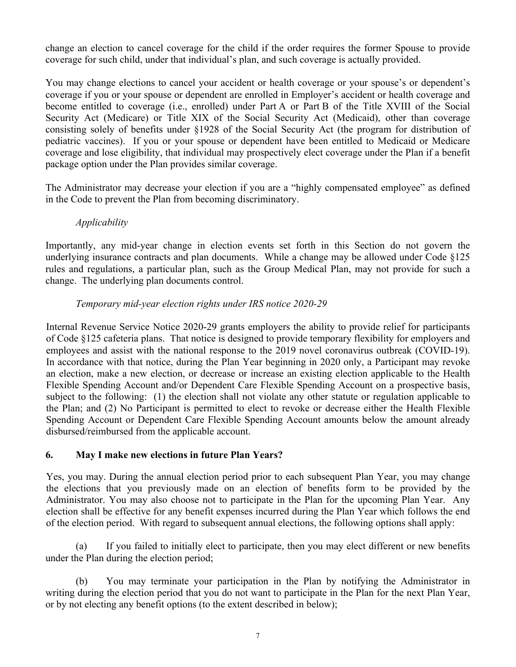change an election to cancel coverage for the child if the order requires the former Spouse to provide coverage for such child, under that individual's plan, and such coverage is actually provided.

You may change elections to cancel your accident or health coverage or your spouse's or dependent's coverage if you or your spouse or dependent are enrolled in Employer's accident or health coverage and become entitled to coverage (i.e., enrolled) under Part A or Part B of the Title XVIII of the Social Security Act (Medicare) or Title XIX of the Social Security Act (Medicaid), other than coverage consisting solely of benefits under §1928 of the Social Security Act (the program for distribution of pediatric vaccines). If you or your spouse or dependent have been entitled to Medicaid or Medicare coverage and lose eligibility, that individual may prospectively elect coverage under the Plan if a benefit package option under the Plan provides similar coverage.

The Administrator may decrease your election if you are a "highly compensated employee" as defined in the Code to prevent the Plan from becoming discriminatory.

# *Applicability*

Importantly, any mid-year change in election events set forth in this Section do not govern the underlying insurance contracts and plan documents. While a change may be allowed under Code §125 rules and regulations, a particular plan, such as the Group Medical Plan, may not provide for such a change. The underlying plan documents control.

# *Temporary mid-year election rights under IRS notice 2020-29*

Internal Revenue Service Notice 2020-29 grants employers the ability to provide relief for participants of Code §125 cafeteria plans. That notice is designed to provide temporary flexibility for employers and employees and assist with the national response to the 2019 novel coronavirus outbreak (COVID-19). In accordance with that notice, during the Plan Year beginning in 2020 only, a Participant may revoke an election, make a new election, or decrease or increase an existing election applicable to the Health Flexible Spending Account and/or Dependent Care Flexible Spending Account on a prospective basis, subject to the following: (1) the election shall not violate any other statute or regulation applicable to the Plan; and (2) No Participant is permitted to elect to revoke or decrease either the Health Flexible Spending Account or Dependent Care Flexible Spending Account amounts below the amount already disbursed/reimbursed from the applicable account.

# **6. May I make new elections in future Plan Years?**

Yes, you may. During the annual election period prior to each subsequent Plan Year, you may change the elections that you previously made on an election of benefits form to be provided by the Administrator. You may also choose not to participate in the Plan for the upcoming Plan Year. Any election shall be effective for any benefit expenses incurred during the Plan Year which follows the end of the election period. With regard to subsequent annual elections, the following options shall apply:

(a) If you failed to initially elect to participate, then you may elect different or new benefits under the Plan during the election period;

(b) You may terminate your participation in the Plan by notifying the Administrator in writing during the election period that you do not want to participate in the Plan for the next Plan Year, or by not electing any benefit options (to the extent described in below);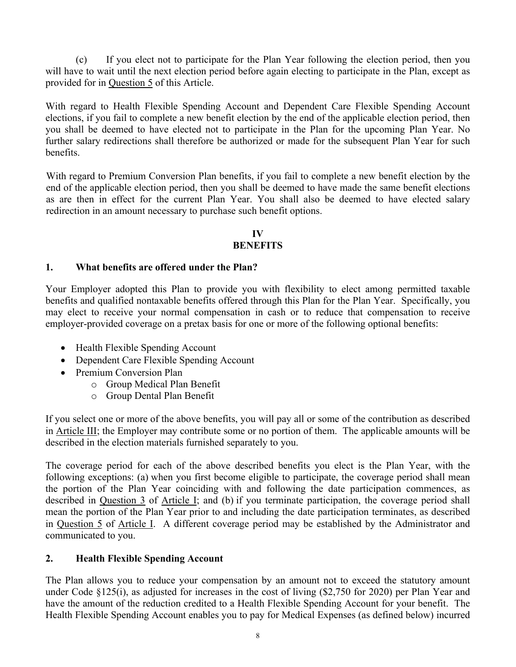(c) If you elect not to participate for the Plan Year following the election period, then you will have to wait until the next election period before again electing to participate in the Plan, except as provided for in Question 5 of this Article.

With regard to Health Flexible Spending Account and Dependent Care Flexible Spending Account elections, if you fail to complete a new benefit election by the end of the applicable election period, then you shall be deemed to have elected not to participate in the Plan for the upcoming Plan Year. No further salary redirections shall therefore be authorized or made for the subsequent Plan Year for such benefits.

With regard to Premium Conversion Plan benefits, if you fail to complete a new benefit election by the end of the applicable election period, then you shall be deemed to have made the same benefit elections as are then in effect for the current Plan Year. You shall also be deemed to have elected salary redirection in an amount necessary to purchase such benefit options.

# **IV**

# **BENEFITS**

# **1. What benefits are offered under the Plan?**

Your Employer adopted this Plan to provide you with flexibility to elect among permitted taxable benefits and qualified nontaxable benefits offered through this Plan for the Plan Year. Specifically, you may elect to receive your normal compensation in cash or to reduce that compensation to receive employer-provided coverage on a pretax basis for one or more of the following optional benefits:

- Health Flexible Spending Account
- Dependent Care Flexible Spending Account
- Premium Conversion Plan
	- o Group Medical Plan Benefit
	- o Group Dental Plan Benefit

If you select one or more of the above benefits, you will pay all or some of the contribution as described in Article III; the Employer may contribute some or no portion of them. The applicable amounts will be described in the election materials furnished separately to you.

The coverage period for each of the above described benefits you elect is the Plan Year, with the following exceptions: (a) when you first become eligible to participate, the coverage period shall mean the portion of the Plan Year coinciding with and following the date participation commences, as described in Question 3 of Article I; and (b) if you terminate participation, the coverage period shall mean the portion of the Plan Year prior to and including the date participation terminates, as described in Question 5 of Article I. A different coverage period may be established by the Administrator and communicated to you.

# **2. Health Flexible Spending Account**

The Plan allows you to reduce your compensation by an amount not to exceed the statutory amount under Code §125(i), as adjusted for increases in the cost of living (\$2,750 for 2020) per Plan Year and have the amount of the reduction credited to a Health Flexible Spending Account for your benefit. The Health Flexible Spending Account enables you to pay for Medical Expenses (as defined below) incurred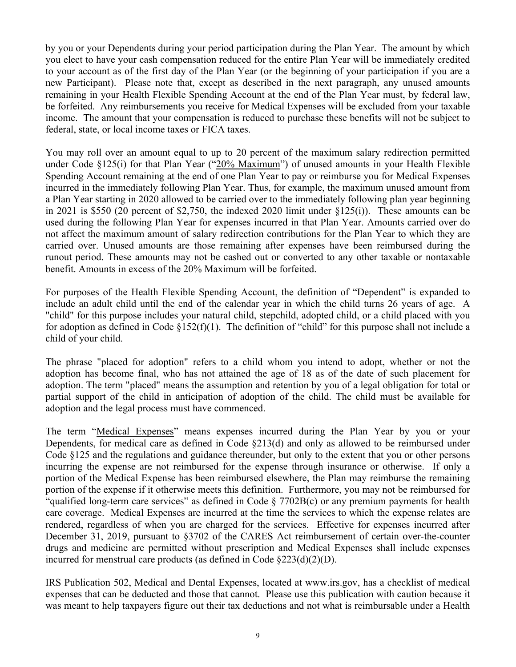by you or your Dependents during your period participation during the Plan Year. The amount by which you elect to have your cash compensation reduced for the entire Plan Year will be immediately credited to your account as of the first day of the Plan Year (or the beginning of your participation if you are a new Participant). Please note that, except as described in the next paragraph, any unused amounts remaining in your Health Flexible Spending Account at the end of the Plan Year must, by federal law, be forfeited. Any reimbursements you receive for Medical Expenses will be excluded from your taxable income. The amount that your compensation is reduced to purchase these benefits will not be subject to federal, state, or local income taxes or FICA taxes.

You may roll over an amount equal to up to 20 percent of the maximum salary redirection permitted under Code §125(i) for that Plan Year ("20% Maximum") of unused amounts in your Health Flexible Spending Account remaining at the end of one Plan Year to pay or reimburse you for Medical Expenses incurred in the immediately following Plan Year. Thus, for example, the maximum unused amount from a Plan Year starting in 2020 allowed to be carried over to the immediately following plan year beginning in 2021 is \$550 (20 percent of \$2,750, the indexed 2020 limit under §125(i)). These amounts can be used during the following Plan Year for expenses incurred in that Plan Year. Amounts carried over do not affect the maximum amount of salary redirection contributions for the Plan Year to which they are carried over. Unused amounts are those remaining after expenses have been reimbursed during the runout period. These amounts may not be cashed out or converted to any other taxable or nontaxable benefit. Amounts in excess of the 20% Maximum will be forfeited.

For purposes of the Health Flexible Spending Account, the definition of "Dependent" is expanded to include an adult child until the end of the calendar year in which the child turns 26 years of age. A "child" for this purpose includes your natural child, stepchild, adopted child, or a child placed with you for adoption as defined in Code  $\S152(f)(1)$ . The definition of "child" for this purpose shall not include a child of your child.

The phrase "placed for adoption" refers to a child whom you intend to adopt, whether or not the adoption has become final, who has not attained the age of 18 as of the date of such placement for adoption. The term "placed" means the assumption and retention by you of a legal obligation for total or partial support of the child in anticipation of adoption of the child. The child must be available for adoption and the legal process must have commenced.

The term "Medical Expenses" means expenses incurred during the Plan Year by you or your Dependents, for medical care as defined in Code §213(d) and only as allowed to be reimbursed under Code §125 and the regulations and guidance thereunder, but only to the extent that you or other persons incurring the expense are not reimbursed for the expense through insurance or otherwise. If only a portion of the Medical Expense has been reimbursed elsewhere, the Plan may reimburse the remaining portion of the expense if it otherwise meets this definition. Furthermore, you may not be reimbursed for "qualified long-term care services" as defined in Code § 7702B(c) or any premium payments for health care coverage. Medical Expenses are incurred at the time the services to which the expense relates are rendered, regardless of when you are charged for the services. Effective for expenses incurred after December 31, 2019, pursuant to §3702 of the CARES Act reimbursement of certain over-the-counter drugs and medicine are permitted without prescription and Medical Expenses shall include expenses incurred for menstrual care products (as defined in Code §223(d)(2)(D).

IRS Publication 502, Medical and Dental Expenses, located at www.irs.gov, has a checklist of medical expenses that can be deducted and those that cannot. Please use this publication with caution because it was meant to help taxpayers figure out their tax deductions and not what is reimbursable under a Health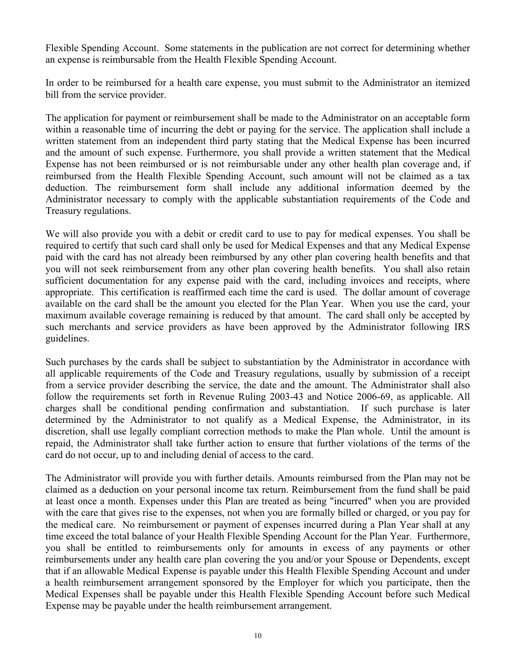Flexible Spending Account. Some statements in the publication are not correct for determining whether an expense is reimbursable from the Health Flexible Spending Account.

In order to be reimbursed for a health care expense, you must submit to the Administrator an itemized bill from the service provider.

The application for payment or reimbursement shall be made to the Administrator on an acceptable form within a reasonable time of incurring the debt or paying for the service. The application shall include a written statement from an independent third party stating that the Medical Expense has been incurred and the amount of such expense. Furthermore, you shall provide a written statement that the Medical Expense has not been reimbursed or is not reimbursable under any other health plan coverage and, if reimbursed from the Health Flexible Spending Account, such amount will not be claimed as a tax deduction. The reimbursement form shall include any additional information deemed by the Administrator necessary to comply with the applicable substantiation requirements of the Code and Treasury regulations.

We will also provide you with a debit or credit card to use to pay for medical expenses. You shall be required to certify that such card shall only be used for Medical Expenses and that any Medical Expense paid with the card has not already been reimbursed by any other plan covering health benefits and that you will not seek reimbursement from any other plan covering health benefits. You shall also retain sufficient documentation for any expense paid with the card, including invoices and receipts, where appropriate. This certification is reaffirmed each time the card is used. The dollar amount of coverage available on the card shall be the amount you elected for the Plan Year. When you use the card, your maximum available coverage remaining is reduced by that amount. The card shall only be accepted by such merchants and service providers as have been approved by the Administrator following IRS guidelines.

Such purchases by the cards shall be subject to substantiation by the Administrator in accordance with all applicable requirements of the Code and Treasury regulations, usually by submission of a receipt from a service provider describing the service, the date and the amount. The Administrator shall also follow the requirements set forth in Revenue Ruling 2003-43 and Notice 2006-69, as applicable. All charges shall be conditional pending confirmation and substantiation. If such purchase is later determined by the Administrator to not qualify as a Medical Expense, the Administrator, in its discretion, shall use legally compliant correction methods to make the Plan whole. Until the amount is repaid, the Administrator shall take further action to ensure that further violations of the terms of the card do not occur, up to and including denial of access to the card.

The Administrator will provide you with further details. Amounts reimbursed from the Plan may not be claimed as a deduction on your personal income tax return. Reimbursement from the fund shall be paid at least once a month. Expenses under this Plan are treated as being "incurred" when you are provided with the care that gives rise to the expenses, not when you are formally billed or charged, or you pay for the medical care. No reimbursement or payment of expenses incurred during a Plan Year shall at any time exceed the total balance of your Health Flexible Spending Account for the Plan Year. Furthermore, you shall be entitled to reimbursements only for amounts in excess of any payments or other reimbursements under any health care plan covering the you and/or your Spouse or Dependents, except that if an allowable Medical Expense is payable under this Health Flexible Spending Account and under a health reimbursement arrangement sponsored by the Employer for which you participate, then the Medical Expenses shall be payable under this Health Flexible Spending Account before such Medical Expense may be payable under the health reimbursement arrangement.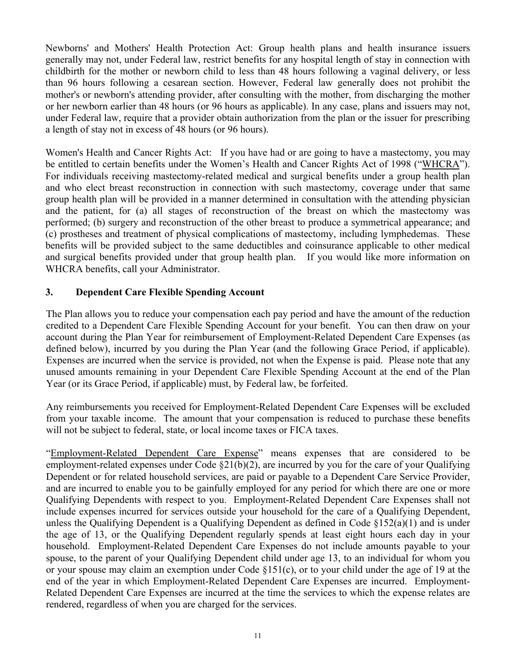Newborns' and Mothers' Health Protection Act: Group health plans and health insurance issuers generally may not, under Federal law, restrict benefits for any hospital length of stay in connection with childbirth for the mother or newborn child to less than 48 hours following a vaginal delivery, or less than 96 hours following a cesarean section. However, Federal law generally does not prohibit the mother's or newborn's attending provider, after consulting with the mother, from discharging the mother or her newborn earlier than 48 hours (or 96 hours as applicable). In any case, plans and issuers may not, under Federal law, require that a provider obtain authorization from the plan or the issuer for prescribing a length of stay not in excess of 48 hours (or 96 hours).

Women's Health and Cancer Rights Act: If you have had or are going to have a mastectomy, you may be entitled to certain benefits under the Women's Health and Cancer Rights Act of 1998 ("WHCRA"). For individuals receiving mastectomy-related medical and surgical benefits under a group health plan and who elect breast reconstruction in connection with such mastectomy, coverage under that same group health plan will be provided in a manner determined in consultation with the attending physician and the patient, for (a) all stages of reconstruction of the breast on which the mastectomy was performed; (b) surgery and reconstruction of the other breast to produce a symmetrical appearance; and (c) prostheses and treatment of physical complications of mastectomy, including lymphedemas. These benefits will be provided subject to the same deductibles and coinsurance applicable to other medical and surgical benefits provided under that group health plan. If you would like more information on WHCRA benefits, call your Administrator.

# **3. Dependent Care Flexible Spending Account**

The Plan allows you to reduce your compensation each pay period and have the amount of the reduction credited to a Dependent Care Flexible Spending Account for your benefit. You can then draw on your account during the Plan Year for reimbursement of Employment-Related Dependent Care Expenses (as defined below), incurred by you during the Plan Year (and the following Grace Period, if applicable). Expenses are incurred when the service is provided, not when the Expense is paid. Please note that any unused amounts remaining in your Dependent Care Flexible Spending Account at the end of the Plan Year (or its Grace Period, if applicable) must, by Federal law, be forfeited.

Any reimbursements you received for Employment-Related Dependent Care Expenses will be excluded from your taxable income. The amount that your compensation is reduced to purchase these benefits will not be subject to federal, state, or local income taxes or FICA taxes.

"Employment-Related Dependent Care Expense" means expenses that are considered to be employment-related expenses under Code  $\S21(b)(2)$ , are incurred by you for the care of your Qualifying Dependent or for related household services, are paid or payable to a Dependent Care Service Provider, and are incurred to enable you to be gainfully employed for any period for which there are one or more Qualifying Dependents with respect to you. Employment-Related Dependent Care Expenses shall not include expenses incurred for services outside your household for the care of a Qualifying Dependent, unless the Qualifying Dependent is a Qualifying Dependent as defined in Code §152(a)(1) and is under the age of 13, or the Qualifying Dependent regularly spends at least eight hours each day in your household. Employment-Related Dependent Care Expenses do not include amounts payable to your spouse, to the parent of your Qualifying Dependent child under age 13, to an individual for whom you or your spouse may claim an exemption under Code §151(c), or to your child under the age of 19 at the end of the year in which Employment-Related Dependent Care Expenses are incurred. Employment-Related Dependent Care Expenses are incurred at the time the services to which the expense relates are rendered, regardless of when you are charged for the services.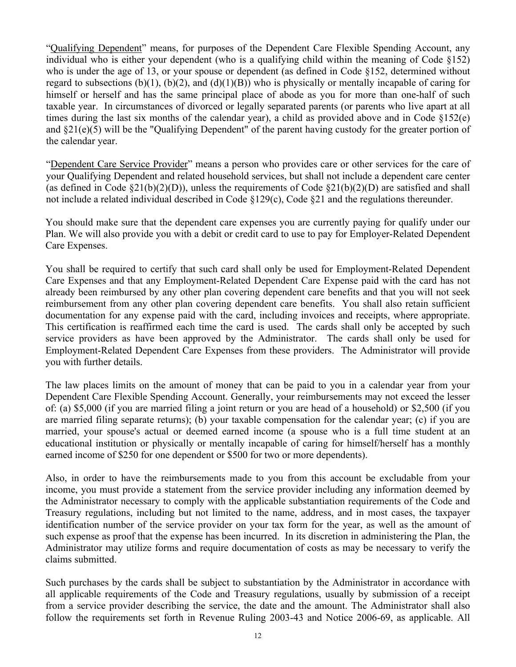"Qualifying Dependent" means, for purposes of the Dependent Care Flexible Spending Account, any individual who is either your dependent (who is a qualifying child within the meaning of Code §152) who is under the age of 13, or your spouse or dependent (as defined in Code §152, determined without regard to subsections (b)(1), (b)(2), and (d)(1)(B)) who is physically or mentally incapable of caring for himself or herself and has the same principal place of abode as you for more than one-half of such taxable year. In circumstances of divorced or legally separated parents (or parents who live apart at all times during the last six months of the calendar year), a child as provided above and in Code §152(e) and §21(e)(5) will be the "Qualifying Dependent" of the parent having custody for the greater portion of the calendar year.

"Dependent Care Service Provider" means a person who provides care or other services for the care of your Qualifying Dependent and related household services, but shall not include a dependent care center (as defined in Code  $\S21(b)(2)(D)$ ), unless the requirements of Code  $\S21(b)(2)(D)$  are satisfied and shall not include a related individual described in Code §129(c), Code §21 and the regulations thereunder.

You should make sure that the dependent care expenses you are currently paying for qualify under our Plan. We will also provide you with a debit or credit card to use to pay for Employer-Related Dependent Care Expenses.

You shall be required to certify that such card shall only be used for Employment-Related Dependent Care Expenses and that any Employment-Related Dependent Care Expense paid with the card has not already been reimbursed by any other plan covering dependent care benefits and that you will not seek reimbursement from any other plan covering dependent care benefits. You shall also retain sufficient documentation for any expense paid with the card, including invoices and receipts, where appropriate. This certification is reaffirmed each time the card is used. The cards shall only be accepted by such service providers as have been approved by the Administrator. The cards shall only be used for Employment-Related Dependent Care Expenses from these providers. The Administrator will provide you with further details.

The law places limits on the amount of money that can be paid to you in a calendar year from your Dependent Care Flexible Spending Account. Generally, your reimbursements may not exceed the lesser of: (a) \$5,000 (if you are married filing a joint return or you are head of a household) or \$2,500 (if you are married filing separate returns); (b) your taxable compensation for the calendar year; (c) if you are married, your spouse's actual or deemed earned income (a spouse who is a full time student at an educational institution or physically or mentally incapable of caring for himself/herself has a monthly earned income of \$250 for one dependent or \$500 for two or more dependents).

Also, in order to have the reimbursements made to you from this account be excludable from your income, you must provide a statement from the service provider including any information deemed by the Administrator necessary to comply with the applicable substantiation requirements of the Code and Treasury regulations, including but not limited to the name, address, and in most cases, the taxpayer identification number of the service provider on your tax form for the year, as well as the amount of such expense as proof that the expense has been incurred. In its discretion in administering the Plan, the Administrator may utilize forms and require documentation of costs as may be necessary to verify the claims submitted.

Such purchases by the cards shall be subject to substantiation by the Administrator in accordance with all applicable requirements of the Code and Treasury regulations, usually by submission of a receipt from a service provider describing the service, the date and the amount. The Administrator shall also follow the requirements set forth in Revenue Ruling 2003-43 and Notice 2006-69, as applicable. All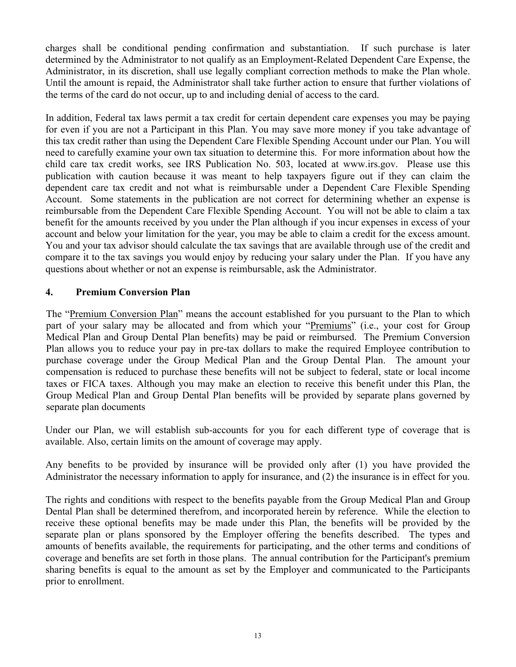charges shall be conditional pending confirmation and substantiation. If such purchase is later determined by the Administrator to not qualify as an Employment-Related Dependent Care Expense, the Administrator, in its discretion, shall use legally compliant correction methods to make the Plan whole. Until the amount is repaid, the Administrator shall take further action to ensure that further violations of the terms of the card do not occur, up to and including denial of access to the card.

In addition, Federal tax laws permit a tax credit for certain dependent care expenses you may be paying for even if you are not a Participant in this Plan. You may save more money if you take advantage of this tax credit rather than using the Dependent Care Flexible Spending Account under our Plan. You will need to carefully examine your own tax situation to determine this. For more information about how the child care tax credit works, see IRS Publication No. 503, located at www.irs.gov. Please use this publication with caution because it was meant to help taxpayers figure out if they can claim the dependent care tax credit and not what is reimbursable under a Dependent Care Flexible Spending Account. Some statements in the publication are not correct for determining whether an expense is reimbursable from the Dependent Care Flexible Spending Account. You will not be able to claim a tax benefit for the amounts received by you under the Plan although if you incur expenses in excess of your account and below your limitation for the year, you may be able to claim a credit for the excess amount. You and your tax advisor should calculate the tax savings that are available through use of the credit and compare it to the tax savings you would enjoy by reducing your salary under the Plan. If you have any questions about whether or not an expense is reimbursable, ask the Administrator.

# **4. Premium Conversion Plan**

The "Premium Conversion Plan" means the account established for you pursuant to the Plan to which part of your salary may be allocated and from which your "Premiums" (i.e., your cost for Group Medical Plan and Group Dental Plan benefits) may be paid or reimbursed. The Premium Conversion Plan allows you to reduce your pay in pre-tax dollars to make the required Employee contribution to purchase coverage under the Group Medical Plan and the Group Dental Plan. The amount your compensation is reduced to purchase these benefits will not be subject to federal, state or local income taxes or FICA taxes. Although you may make an election to receive this benefit under this Plan, the Group Medical Plan and Group Dental Plan benefits will be provided by separate plans governed by separate plan documents

Under our Plan, we will establish sub-accounts for you for each different type of coverage that is available. Also, certain limits on the amount of coverage may apply.

Any benefits to be provided by insurance will be provided only after (1) you have provided the Administrator the necessary information to apply for insurance, and (2) the insurance is in effect for you.

The rights and conditions with respect to the benefits payable from the Group Medical Plan and Group Dental Plan shall be determined therefrom, and incorporated herein by reference. While the election to receive these optional benefits may be made under this Plan, the benefits will be provided by the separate plan or plans sponsored by the Employer offering the benefits described. The types and amounts of benefits available, the requirements for participating, and the other terms and conditions of coverage and benefits are set forth in those plans. The annual contribution for the Participant's premium sharing benefits is equal to the amount as set by the Employer and communicated to the Participants prior to enrollment.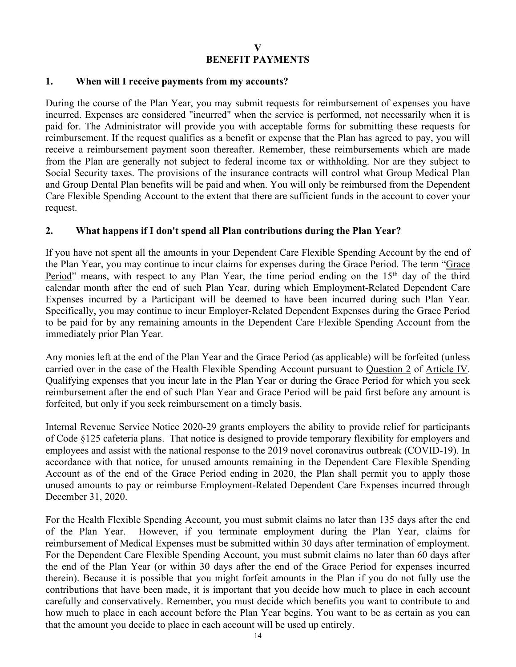#### **1. When will I receive payments from my accounts?**

During the course of the Plan Year, you may submit requests for reimbursement of expenses you have incurred. Expenses are considered "incurred" when the service is performed, not necessarily when it is paid for. The Administrator will provide you with acceptable forms for submitting these requests for reimbursement. If the request qualifies as a benefit or expense that the Plan has agreed to pay, you will receive a reimbursement payment soon thereafter. Remember, these reimbursements which are made from the Plan are generally not subject to federal income tax or withholding. Nor are they subject to Social Security taxes. The provisions of the insurance contracts will control what Group Medical Plan and Group Dental Plan benefits will be paid and when. You will only be reimbursed from the Dependent Care Flexible Spending Account to the extent that there are sufficient funds in the account to cover your request.

### **2. What happens if I don't spend all Plan contributions during the Plan Year?**

If you have not spent all the amounts in your Dependent Care Flexible Spending Account by the end of the Plan Year, you may continue to incur claims for expenses during the Grace Period. The term "Grace Period" means, with respect to any Plan Year, the time period ending on the 15<sup>th</sup> day of the third calendar month after the end of such Plan Year, during which Employment-Related Dependent Care Expenses incurred by a Participant will be deemed to have been incurred during such Plan Year. Specifically, you may continue to incur Employer-Related Dependent Expenses during the Grace Period to be paid for by any remaining amounts in the Dependent Care Flexible Spending Account from the immediately prior Plan Year.

Any monies left at the end of the Plan Year and the Grace Period (as applicable) will be forfeited (unless carried over in the case of the Health Flexible Spending Account pursuant to Question 2 of Article IV. Qualifying expenses that you incur late in the Plan Year or during the Grace Period for which you seek reimbursement after the end of such Plan Year and Grace Period will be paid first before any amount is forfeited, but only if you seek reimbursement on a timely basis.

Internal Revenue Service Notice 2020-29 grants employers the ability to provide relief for participants of Code §125 cafeteria plans. That notice is designed to provide temporary flexibility for employers and employees and assist with the national response to the 2019 novel coronavirus outbreak (COVID-19). In accordance with that notice, for unused amounts remaining in the Dependent Care Flexible Spending Account as of the end of the Grace Period ending in 2020, the Plan shall permit you to apply those unused amounts to pay or reimburse Employment-Related Dependent Care Expenses incurred through December 31, 2020.

For the Health Flexible Spending Account, you must submit claims no later than 135 days after the end of the Plan Year. However, if you terminate employment during the Plan Year, claims for reimbursement of Medical Expenses must be submitted within 30 days after termination of employment. For the Dependent Care Flexible Spending Account, you must submit claims no later than 60 days after the end of the Plan Year (or within 30 days after the end of the Grace Period for expenses incurred therein). Because it is possible that you might forfeit amounts in the Plan if you do not fully use the contributions that have been made, it is important that you decide how much to place in each account carefully and conservatively. Remember, you must decide which benefits you want to contribute to and how much to place in each account before the Plan Year begins. You want to be as certain as you can that the amount you decide to place in each account will be used up entirely.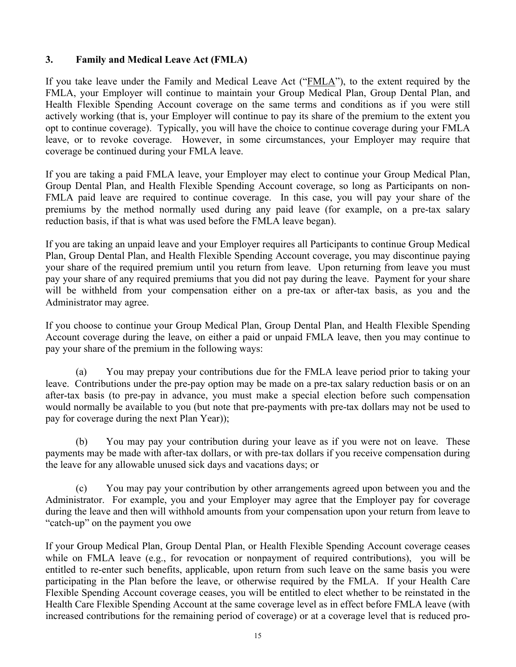### **3. Family and Medical Leave Act (FMLA)**

If you take leave under the Family and Medical Leave Act ("FMLA"), to the extent required by the FMLA, your Employer will continue to maintain your Group Medical Plan, Group Dental Plan, and Health Flexible Spending Account coverage on the same terms and conditions as if you were still actively working (that is, your Employer will continue to pay its share of the premium to the extent you opt to continue coverage). Typically, you will have the choice to continue coverage during your FMLA leave, or to revoke coverage. However, in some circumstances, your Employer may require that coverage be continued during your FMLA leave.

If you are taking a paid FMLA leave, your Employer may elect to continue your Group Medical Plan, Group Dental Plan, and Health Flexible Spending Account coverage, so long as Participants on non-FMLA paid leave are required to continue coverage. In this case, you will pay your share of the premiums by the method normally used during any paid leave (for example, on a pre-tax salary reduction basis, if that is what was used before the FMLA leave began).

If you are taking an unpaid leave and your Employer requires all Participants to continue Group Medical Plan, Group Dental Plan, and Health Flexible Spending Account coverage, you may discontinue paying your share of the required premium until you return from leave. Upon returning from leave you must pay your share of any required premiums that you did not pay during the leave. Payment for your share will be withheld from your compensation either on a pre-tax or after-tax basis, as you and the Administrator may agree.

If you choose to continue your Group Medical Plan, Group Dental Plan, and Health Flexible Spending Account coverage during the leave, on either a paid or unpaid FMLA leave, then you may continue to pay your share of the premium in the following ways:

(a) You may prepay your contributions due for the FMLA leave period prior to taking your leave. Contributions under the pre-pay option may be made on a pre-tax salary reduction basis or on an after-tax basis (to pre-pay in advance, you must make a special election before such compensation would normally be available to you (but note that pre-payments with pre-tax dollars may not be used to pay for coverage during the next Plan Year));

(b) You may pay your contribution during your leave as if you were not on leave. These payments may be made with after-tax dollars, or with pre-tax dollars if you receive compensation during the leave for any allowable unused sick days and vacations days; or

(c) You may pay your contribution by other arrangements agreed upon between you and the Administrator. For example, you and your Employer may agree that the Employer pay for coverage during the leave and then will withhold amounts from your compensation upon your return from leave to "catch-up" on the payment you owe

If your Group Medical Plan, Group Dental Plan, or Health Flexible Spending Account coverage ceases while on FMLA leave (e.g., for revocation or nonpayment of required contributions), you will be entitled to re-enter such benefits, applicable, upon return from such leave on the same basis you were participating in the Plan before the leave, or otherwise required by the FMLA. If your Health Care Flexible Spending Account coverage ceases, you will be entitled to elect whether to be reinstated in the Health Care Flexible Spending Account at the same coverage level as in effect before FMLA leave (with increased contributions for the remaining period of coverage) or at a coverage level that is reduced pro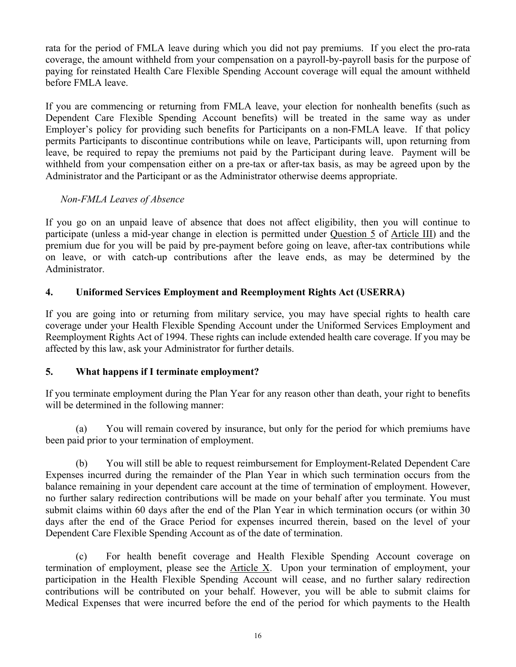rata for the period of FMLA leave during which you did not pay premiums. If you elect the pro-rata coverage, the amount withheld from your compensation on a payroll-by-payroll basis for the purpose of paying for reinstated Health Care Flexible Spending Account coverage will equal the amount withheld before FMLA leave.

If you are commencing or returning from FMLA leave, your election for nonhealth benefits (such as Dependent Care Flexible Spending Account benefits) will be treated in the same way as under Employer's policy for providing such benefits for Participants on a non-FMLA leave. If that policy permits Participants to discontinue contributions while on leave, Participants will, upon returning from leave, be required to repay the premiums not paid by the Participant during leave. Payment will be withheld from your compensation either on a pre-tax or after-tax basis, as may be agreed upon by the Administrator and the Participant or as the Administrator otherwise deems appropriate.

# *Non-FMLA Leaves of Absence*

If you go on an unpaid leave of absence that does not affect eligibility, then you will continue to participate (unless a mid-year change in election is permitted under Question 5 of Article III) and the premium due for you will be paid by pre-payment before going on leave, after-tax contributions while on leave, or with catch-up contributions after the leave ends, as may be determined by the Administrator.

# **4. Uniformed Services Employment and Reemployment Rights Act (USERRA)**

If you are going into or returning from military service, you may have special rights to health care coverage under your Health Flexible Spending Account under the Uniformed Services Employment and Reemployment Rights Act of 1994. These rights can include extended health care coverage. If you may be affected by this law, ask your Administrator for further details.

# **5. What happens if I terminate employment?**

If you terminate employment during the Plan Year for any reason other than death, your right to benefits will be determined in the following manner:

(a) You will remain covered by insurance, but only for the period for which premiums have been paid prior to your termination of employment.

(b) You will still be able to request reimbursement for Employment-Related Dependent Care Expenses incurred during the remainder of the Plan Year in which such termination occurs from the balance remaining in your dependent care account at the time of termination of employment. However, no further salary redirection contributions will be made on your behalf after you terminate. You must submit claims within 60 days after the end of the Plan Year in which termination occurs (or within 30 days after the end of the Grace Period for expenses incurred therein, based on the level of your Dependent Care Flexible Spending Account as of the date of termination.

(c) For health benefit coverage and Health Flexible Spending Account coverage on termination of employment, please see the Article X. Upon your termination of employment, your participation in the Health Flexible Spending Account will cease, and no further salary redirection contributions will be contributed on your behalf. However, you will be able to submit claims for Medical Expenses that were incurred before the end of the period for which payments to the Health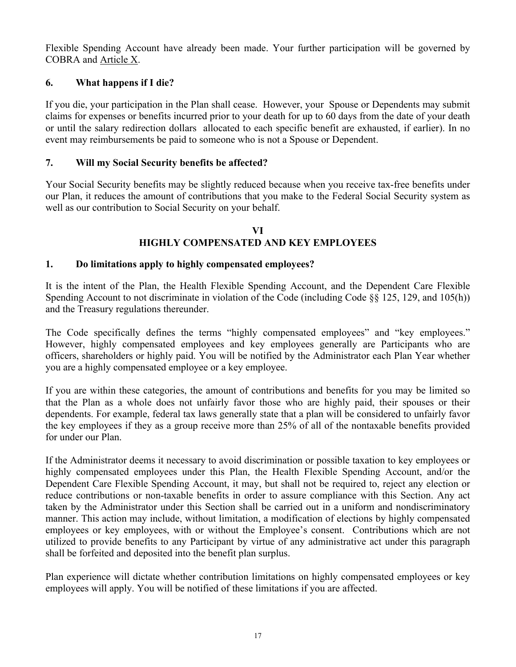Flexible Spending Account have already been made. Your further participation will be governed by COBRA and Article X.

# **6. What happens if I die?**

If you die, your participation in the Plan shall cease. However, your Spouse or Dependents may submit claims for expenses or benefits incurred prior to your death for up to 60 days from the date of your death or until the salary redirection dollars allocated to each specific benefit are exhausted, if earlier). In no event may reimbursements be paid to someone who is not a Spouse or Dependent.

# **7. Will my Social Security benefits be affected?**

Your Social Security benefits may be slightly reduced because when you receive tax-free benefits under our Plan, it reduces the amount of contributions that you make to the Federal Social Security system as well as our contribution to Social Security on your behalf.

#### **VI HIGHLY COMPENSATED AND KEY EMPLOYEES**

### **1. Do limitations apply to highly compensated employees?**

It is the intent of the Plan, the Health Flexible Spending Account, and the Dependent Care Flexible Spending Account to not discriminate in violation of the Code (including Code §§ 125, 129, and 105(h)) and the Treasury regulations thereunder.

The Code specifically defines the terms "highly compensated employees" and "key employees." However, highly compensated employees and key employees generally are Participants who are officers, shareholders or highly paid. You will be notified by the Administrator each Plan Year whether you are a highly compensated employee or a key employee.

If you are within these categories, the amount of contributions and benefits for you may be limited so that the Plan as a whole does not unfairly favor those who are highly paid, their spouses or their dependents. For example, federal tax laws generally state that a plan will be considered to unfairly favor the key employees if they as a group receive more than 25% of all of the nontaxable benefits provided for under our Plan.

If the Administrator deems it necessary to avoid discrimination or possible taxation to key employees or highly compensated employees under this Plan, the Health Flexible Spending Account, and/or the Dependent Care Flexible Spending Account, it may, but shall not be required to, reject any election or reduce contributions or non-taxable benefits in order to assure compliance with this Section. Any act taken by the Administrator under this Section shall be carried out in a uniform and nondiscriminatory manner. This action may include, without limitation, a modification of elections by highly compensated employees or key employees, with or without the Employee's consent. Contributions which are not utilized to provide benefits to any Participant by virtue of any administrative act under this paragraph shall be forfeited and deposited into the benefit plan surplus.

Plan experience will dictate whether contribution limitations on highly compensated employees or key employees will apply. You will be notified of these limitations if you are affected.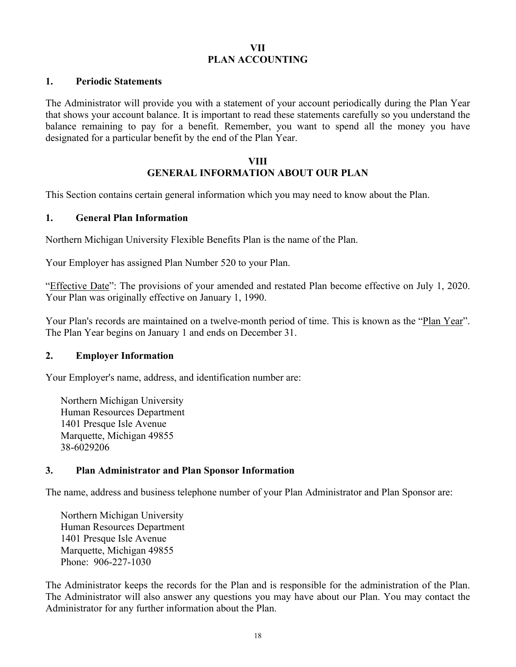### **VII PLAN ACCOUNTING**

#### **1. Periodic Statements**

The Administrator will provide you with a statement of your account periodically during the Plan Year that shows your account balance. It is important to read these statements carefully so you understand the balance remaining to pay for a benefit. Remember, you want to spend all the money you have designated for a particular benefit by the end of the Plan Year.

#### **VIII GENERAL INFORMATION ABOUT OUR PLAN**

This Section contains certain general information which you may need to know about the Plan.

#### **1. General Plan Information**

Northern Michigan University Flexible Benefits Plan is the name of the Plan.

Your Employer has assigned Plan Number 520 to your Plan.

"Effective Date": The provisions of your amended and restated Plan become effective on July 1, 2020. Your Plan was originally effective on January 1, 1990.

Your Plan's records are maintained on a twelve-month period of time. This is known as the "Plan Year". The Plan Year begins on January 1 and ends on December 31.

#### **2. Employer Information**

Your Employer's name, address, and identification number are:

Northern Michigan University Human Resources Department 1401 Presque Isle Avenue Marquette, Michigan 49855 38-6029206

#### **3. Plan Administrator and Plan Sponsor Information**

The name, address and business telephone number of your Plan Administrator and Plan Sponsor are:

Northern Michigan University Human Resources Department 1401 Presque Isle Avenue Marquette, Michigan 49855 Phone: 906-227-1030

The Administrator keeps the records for the Plan and is responsible for the administration of the Plan. The Administrator will also answer any questions you may have about our Plan. You may contact the Administrator for any further information about the Plan.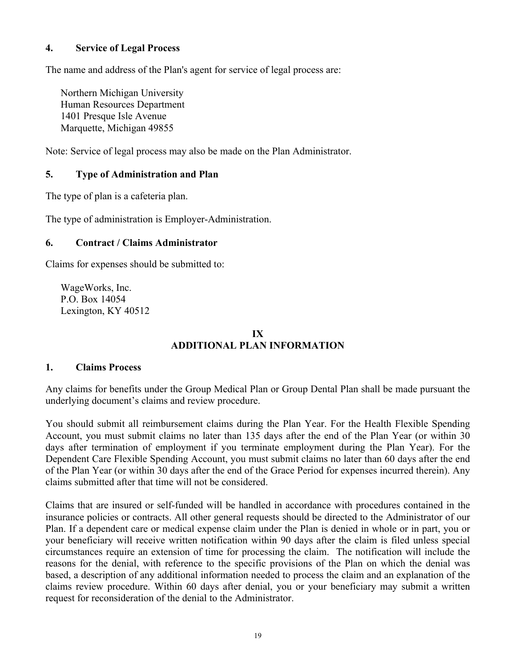### **4. Service of Legal Process**

The name and address of the Plan's agent for service of legal process are:

Northern Michigan University Human Resources Department 1401 Presque Isle Avenue Marquette, Michigan 49855

Note: Service of legal process may also be made on the Plan Administrator.

### **5. Type of Administration and Plan**

The type of plan is a cafeteria plan.

The type of administration is Employer-Administration.

### **6. Contract / Claims Administrator**

Claims for expenses should be submitted to:

WageWorks, Inc. P.O. Box 14054 Lexington, KY 40512

### **IX ADDITIONAL PLAN INFORMATION**

#### **1. Claims Process**

Any claims for benefits under the Group Medical Plan or Group Dental Plan shall be made pursuant the underlying document's claims and review procedure.

You should submit all reimbursement claims during the Plan Year. For the Health Flexible Spending Account, you must submit claims no later than 135 days after the end of the Plan Year (or within 30 days after termination of employment if you terminate employment during the Plan Year). For the Dependent Care Flexible Spending Account, you must submit claims no later than 60 days after the end of the Plan Year (or within 30 days after the end of the Grace Period for expenses incurred therein). Any claims submitted after that time will not be considered.

Claims that are insured or self-funded will be handled in accordance with procedures contained in the insurance policies or contracts. All other general requests should be directed to the Administrator of our Plan. If a dependent care or medical expense claim under the Plan is denied in whole or in part, you or your beneficiary will receive written notification within 90 days after the claim is filed unless special circumstances require an extension of time for processing the claim. The notification will include the reasons for the denial, with reference to the specific provisions of the Plan on which the denial was based, a description of any additional information needed to process the claim and an explanation of the claims review procedure. Within 60 days after denial, you or your beneficiary may submit a written request for reconsideration of the denial to the Administrator.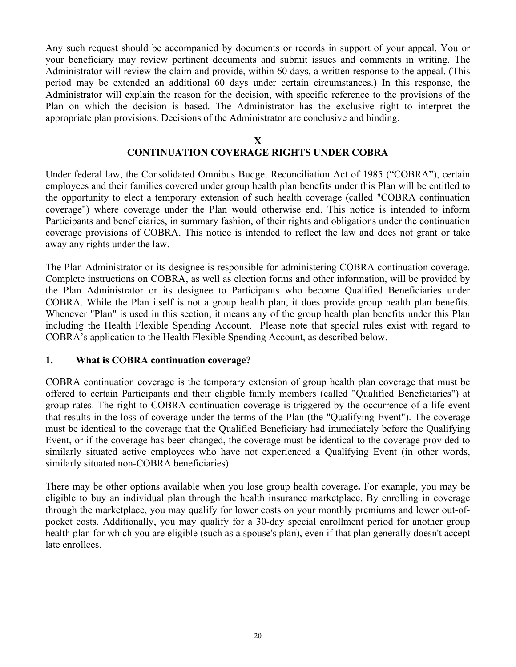Any such request should be accompanied by documents or records in support of your appeal. You or your beneficiary may review pertinent documents and submit issues and comments in writing. The Administrator will review the claim and provide, within 60 days, a written response to the appeal. (This period may be extended an additional 60 days under certain circumstances.) In this response, the Administrator will explain the reason for the decision, with specific reference to the provisions of the Plan on which the decision is based. The Administrator has the exclusive right to interpret the appropriate plan provisions. Decisions of the Administrator are conclusive and binding.

#### **X**

### **CONTINUATION COVERAGE RIGHTS UNDER COBRA**

Under federal law, the Consolidated Omnibus Budget Reconciliation Act of 1985 ("COBRA"), certain employees and their families covered under group health plan benefits under this Plan will be entitled to the opportunity to elect a temporary extension of such health coverage (called "COBRA continuation coverage") where coverage under the Plan would otherwise end. This notice is intended to inform Participants and beneficiaries, in summary fashion, of their rights and obligations under the continuation coverage provisions of COBRA. This notice is intended to reflect the law and does not grant or take away any rights under the law.

The Plan Administrator or its designee is responsible for administering COBRA continuation coverage. Complete instructions on COBRA, as well as election forms and other information, will be provided by the Plan Administrator or its designee to Participants who become Qualified Beneficiaries under COBRA. While the Plan itself is not a group health plan, it does provide group health plan benefits. Whenever "Plan" is used in this section, it means any of the group health plan benefits under this Plan including the Health Flexible Spending Account. Please note that special rules exist with regard to COBRA's application to the Health Flexible Spending Account, as described below.

#### **1. What is COBRA continuation coverage?**

COBRA continuation coverage is the temporary extension of group health plan coverage that must be offered to certain Participants and their eligible family members (called "Qualified Beneficiaries") at group rates. The right to COBRA continuation coverage is triggered by the occurrence of a life event that results in the loss of coverage under the terms of the Plan (the "Qualifying Event"). The coverage must be identical to the coverage that the Qualified Beneficiary had immediately before the Qualifying Event, or if the coverage has been changed, the coverage must be identical to the coverage provided to similarly situated active employees who have not experienced a Qualifying Event (in other words, similarly situated non-COBRA beneficiaries).

There may be other options available when you lose group health coverage**.** For example, you may be eligible to buy an individual plan through the health insurance marketplace. By enrolling in coverage through the marketplace, you may qualify for lower costs on your monthly premiums and lower out-ofpocket costs. Additionally, you may qualify for a 30-day special enrollment period for another group health plan for which you are eligible (such as a spouse's plan), even if that plan generally doesn't accept late enrollees.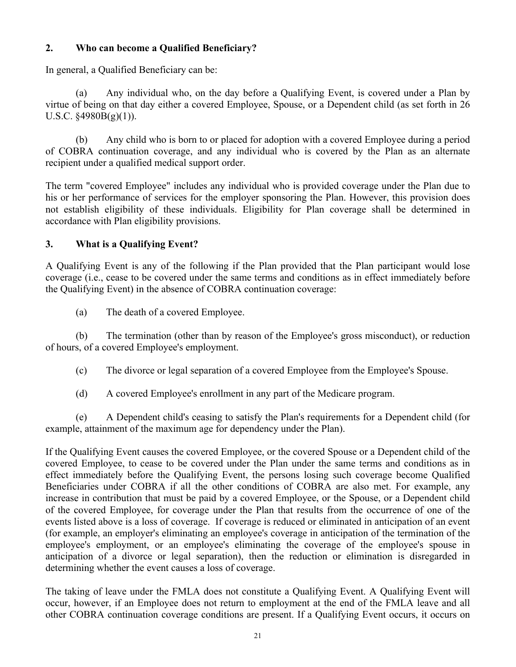# **2. Who can become a Qualified Beneficiary?**

In general, a Qualified Beneficiary can be:

(a) Any individual who, on the day before a Qualifying Event, is covered under a Plan by virtue of being on that day either a covered Employee, Spouse, or a Dependent child (as set forth in 26 U.S.C. §4980B(g)(1)).

(b) Any child who is born to or placed for adoption with a covered Employee during a period of COBRA continuation coverage, and any individual who is covered by the Plan as an alternate recipient under a qualified medical support order.

The term "covered Employee" includes any individual who is provided coverage under the Plan due to his or her performance of services for the employer sponsoring the Plan. However, this provision does not establish eligibility of these individuals. Eligibility for Plan coverage shall be determined in accordance with Plan eligibility provisions.

# **3. What is a Qualifying Event?**

A Qualifying Event is any of the following if the Plan provided that the Plan participant would lose coverage (i.e., cease to be covered under the same terms and conditions as in effect immediately before the Qualifying Event) in the absence of COBRA continuation coverage:

(a) The death of a covered Employee.

(b) The termination (other than by reason of the Employee's gross misconduct), or reduction of hours, of a covered Employee's employment.

- (c) The divorce or legal separation of a covered Employee from the Employee's Spouse.
- (d) A covered Employee's enrollment in any part of the Medicare program.

(e) A Dependent child's ceasing to satisfy the Plan's requirements for a Dependent child (for example, attainment of the maximum age for dependency under the Plan).

If the Qualifying Event causes the covered Employee, or the covered Spouse or a Dependent child of the covered Employee, to cease to be covered under the Plan under the same terms and conditions as in effect immediately before the Qualifying Event, the persons losing such coverage become Qualified Beneficiaries under COBRA if all the other conditions of COBRA are also met. For example, any increase in contribution that must be paid by a covered Employee, or the Spouse, or a Dependent child of the covered Employee, for coverage under the Plan that results from the occurrence of one of the events listed above is a loss of coverage. If coverage is reduced or eliminated in anticipation of an event (for example, an employer's eliminating an employee's coverage in anticipation of the termination of the employee's employment, or an employee's eliminating the coverage of the employee's spouse in anticipation of a divorce or legal separation), then the reduction or elimination is disregarded in determining whether the event causes a loss of coverage.

The taking of leave under the FMLA does not constitute a Qualifying Event. A Qualifying Event will occur, however, if an Employee does not return to employment at the end of the FMLA leave and all other COBRA continuation coverage conditions are present. If a Qualifying Event occurs, it occurs on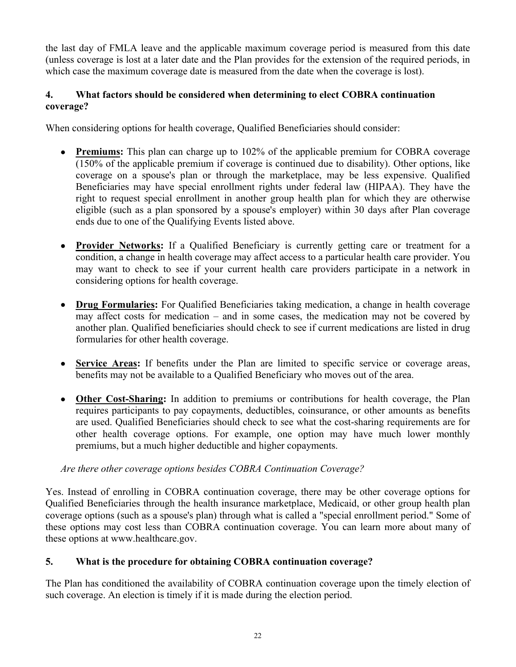the last day of FMLA leave and the applicable maximum coverage period is measured from this date (unless coverage is lost at a later date and the Plan provides for the extension of the required periods, in which case the maximum coverage date is measured from the date when the coverage is lost).

# **4. What factors should be considered when determining to elect COBRA continuation coverage?**

When considering options for health coverage, Qualified Beneficiaries should consider:

- **Premiums:** This plan can charge up to 102% of the applicable premium for COBRA coverage (150% of the applicable premium if coverage is continued due to disability). Other options, like coverage on a spouse's plan or through the marketplace, may be less expensive. Qualified Beneficiaries may have special enrollment rights under federal law (HIPAA). They have the right to request special enrollment in another group health plan for which they are otherwise eligible (such as a plan sponsored by a spouse's employer) within 30 days after Plan coverage ends due to one of the Qualifying Events listed above.
- **Provider Networks:** If a Qualified Beneficiary is currently getting care or treatment for a condition, a change in health coverage may affect access to a particular health care provider. You may want to check to see if your current health care providers participate in a network in considering options for health coverage.
- **Drug Formularies:** For Qualified Beneficiaries taking medication, a change in health coverage may affect costs for medication – and in some cases, the medication may not be covered by another plan. Qualified beneficiaries should check to see if current medications are listed in drug formularies for other health coverage.
- **Service Areas:** If benefits under the Plan are limited to specific service or coverage areas, benefits may not be available to a Qualified Beneficiary who moves out of the area.
- **Other Cost-Sharing:** In addition to premiums or contributions for health coverage, the Plan requires participants to pay copayments, deductibles, coinsurance, or other amounts as benefits are used. Qualified Beneficiaries should check to see what the cost-sharing requirements are for other health coverage options. For example, one option may have much lower monthly premiums, but a much higher deductible and higher copayments.

# *Are there other coverage options besides COBRA Continuation Coverage?*

Yes. Instead of enrolling in COBRA continuation coverage, there may be other coverage options for Qualified Beneficiaries through the health insurance marketplace, Medicaid, or other group health plan coverage options (such as a spouse's plan) through what is called a "special enrollment period." Some of these options may cost less than COBRA continuation coverage. You can learn more about many of these options at www.healthcare.gov.

# **5. What is the procedure for obtaining COBRA continuation coverage?**

The Plan has conditioned the availability of COBRA continuation coverage upon the timely election of such coverage. An election is timely if it is made during the election period.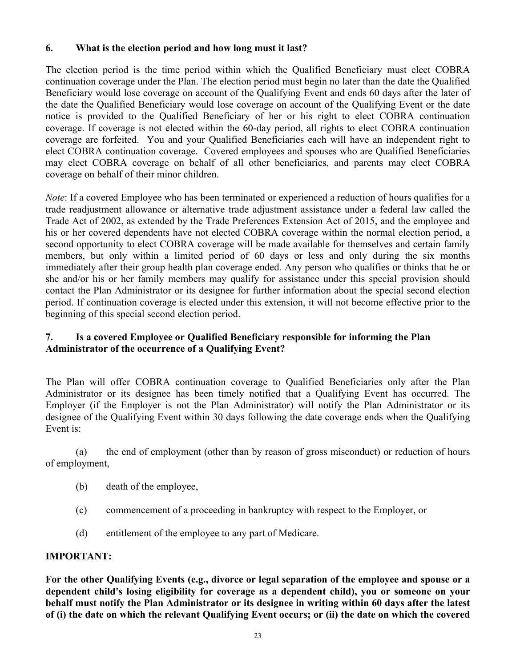# **6. What is the election period and how long must it last?**

The election period is the time period within which the Qualified Beneficiary must elect COBRA continuation coverage under the Plan. The election period must begin no later than the date the Qualified Beneficiary would lose coverage on account of the Qualifying Event and ends 60 days after the later of the date the Qualified Beneficiary would lose coverage on account of the Qualifying Event or the date notice is provided to the Qualified Beneficiary of her or his right to elect COBRA continuation coverage. If coverage is not elected within the 60-day period, all rights to elect COBRA continuation coverage are forfeited. You and your Qualified Beneficiaries each will have an independent right to elect COBRA continuation coverage. Covered employees and spouses who are Qualified Beneficiaries may elect COBRA coverage on behalf of all other beneficiaries, and parents may elect COBRA coverage on behalf of their minor children.

*Note*: If a covered Employee who has been terminated or experienced a reduction of hours qualifies for a trade readjustment allowance or alternative trade adjustment assistance under a federal law called the Trade Act of 2002, as extended by the Trade Preferences Extension Act of 2015, and the employee and his or her covered dependents have not elected COBRA coverage within the normal election period, a second opportunity to elect COBRA coverage will be made available for themselves and certain family members, but only within a limited period of 60 days or less and only during the six months immediately after their group health plan coverage ended. Any person who qualifies or thinks that he or she and/or his or her family members may qualify for assistance under this special provision should contact the Plan Administrator or its designee for further information about the special second election period. If continuation coverage is elected under this extension, it will not become effective prior to the beginning of this special second election period.

# **7. Is a covered Employee or Qualified Beneficiary responsible for informing the Plan Administrator of the occurrence of a Qualifying Event?**

The Plan will offer COBRA continuation coverage to Qualified Beneficiaries only after the Plan Administrator or its designee has been timely notified that a Qualifying Event has occurred. The Employer (if the Employer is not the Plan Administrator) will notify the Plan Administrator or its designee of the Qualifying Event within 30 days following the date coverage ends when the Qualifying Event is:

(a) the end of employment (other than by reason of gross misconduct) or reduction of hours of employment,

- (b) death of the employee,
- (c) commencement of a proceeding in bankruptcy with respect to the Employer, or
- (d) entitlement of the employee to any part of Medicare.

# **IMPORTANT:**

**For the other Qualifying Events (e.g., divorce or legal separation of the employee and spouse or a dependent child's losing eligibility for coverage as a dependent child), you or someone on your behalf must notify the Plan Administrator or its designee in writing within 60 days after the latest** of (i) the date on which the relevant Qualifying Event occurs; or (ii) the date on which the covered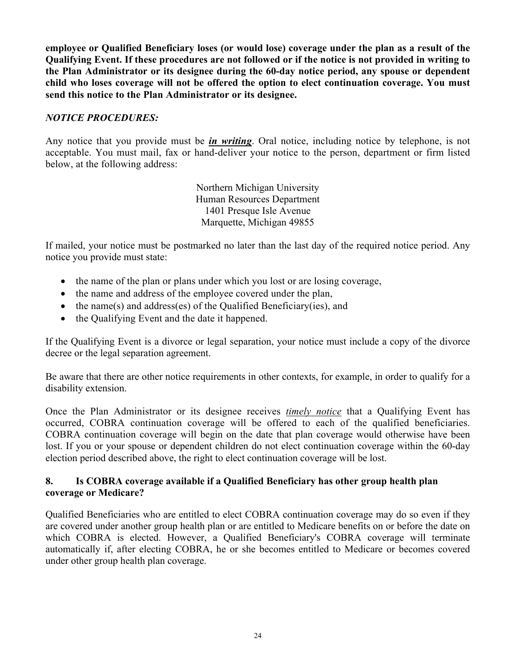**employee or Qualified Beneficiary loses (or would lose) coverage under the plan as a result of the** Qualifying Event. If these procedures are not followed or if the notice is not provided in writing to **the Plan Administrator or its designee during the 60-day notice period, any spouse or dependent child who loses coverage will not be offered the option to elect continuation coverage. You must send this notice to the Plan Administrator or its designee.**

# *NOTICE PROCEDURES:*

Any notice that you provide must be *in writing*. Oral notice, including notice by telephone, is not acceptable. You must mail, fax or hand-deliver your notice to the person, department or firm listed below, at the following address:

> Northern Michigan University Human Resources Department 1401 Presque Isle Avenue Marquette, Michigan 49855

If mailed, your notice must be postmarked no later than the last day of the required notice period. Any notice you provide must state:

- the name of the plan or plans under which you lost or are losing coverage,
- the name and address of the employee covered under the plan,
- $\bullet$  the name(s) and address(es) of the Qualified Beneficiary(ies), and
- the Qualifying Event and the date it happened.

If the Qualifying Event is a divorce or legal separation, your notice must include a copy of the divorce decree or the legal separation agreement.

Be aware that there are other notice requirements in other contexts, for example, in order to qualify for a disability extension.

Once the Plan Administrator or its designee receives *timely notice* that a Qualifying Event has occurred, COBRA continuation coverage will be offered to each of the qualified beneficiaries. COBRA continuation coverage will begin on the date that plan coverage would otherwise have been lost. If you or your spouse or dependent children do not elect continuation coverage within the 60-day election period described above, the right to elect continuation coverage will be lost.

# **8. Is COBRA coverage available if a Qualified Beneficiary has other group health plan coverage or Medicare?**

Qualified Beneficiaries who are entitled to elect COBRA continuation coverage may do so even if they are covered under another group health plan or are entitled to Medicare benefits on or before the date on which COBRA is elected. However, a Qualified Beneficiary's COBRA coverage will terminate automatically if, after electing COBRA, he or she becomes entitled to Medicare or becomes covered under other group health plan coverage.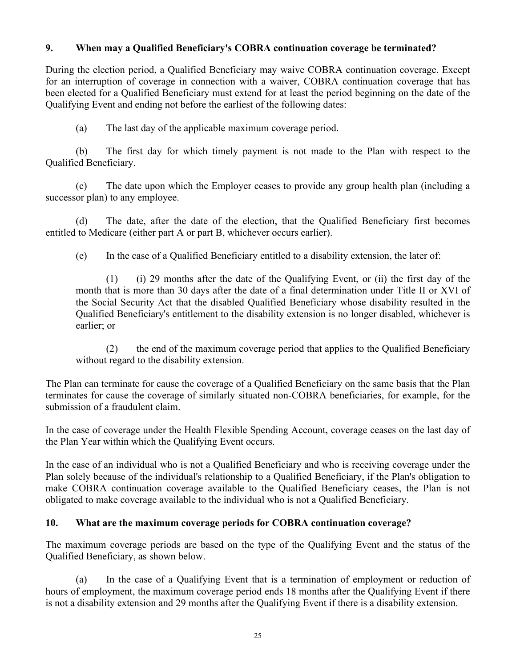### **9. When may a Qualified Beneficiary's COBRA continuation coverage be terminated?**

During the election period, a Qualified Beneficiary may waive COBRA continuation coverage. Except for an interruption of coverage in connection with a waiver, COBRA continuation coverage that has been elected for a Qualified Beneficiary must extend for at least the period beginning on the date of the Qualifying Event and ending not before the earliest of the following dates:

(a) The last day of the applicable maximum coverage period.

(b) The first day for which timely payment is not made to the Plan with respect to the Qualified Beneficiary.

(c) The date upon which the Employer ceases to provide any group health plan (including a successor plan) to any employee.

(d) The date, after the date of the election, that the Qualified Beneficiary first becomes entitled to Medicare (either part A or part B, whichever occurs earlier).

(e) In the case of a Qualified Beneficiary entitled to a disability extension, the later of:

(1) (i) 29 months after the date of the Qualifying Event, or (ii) the first day of the month that is more than 30 days after the date of a final determination under Title II or XVI of the Social Security Act that the disabled Qualified Beneficiary whose disability resulted in the Qualified Beneficiary's entitlement to the disability extension is no longer disabled, whichever is earlier; or

(2) the end of the maximum coverage period that applies to the Qualified Beneficiary without regard to the disability extension.

The Plan can terminate for cause the coverage of a Qualified Beneficiary on the same basis that the Plan terminates for cause the coverage of similarly situated non-COBRA beneficiaries, for example, for the submission of a fraudulent claim.

In the case of coverage under the Health Flexible Spending Account, coverage ceases on the last day of the Plan Year within which the Qualifying Event occurs.

In the case of an individual who is not a Qualified Beneficiary and who is receiving coverage under the Plan solely because of the individual's relationship to a Qualified Beneficiary, if the Plan's obligation to make COBRA continuation coverage available to the Qualified Beneficiary ceases, the Plan is not obligated to make coverage available to the individual who is not a Qualified Beneficiary.

#### **10. What are the maximum coverage periods for COBRA continuation coverage?**

The maximum coverage periods are based on the type of the Qualifying Event and the status of the Qualified Beneficiary, as shown below.

(a) In the case of a Qualifying Event that is a termination of employment or reduction of hours of employment, the maximum coverage period ends 18 months after the Qualifying Event if there is not a disability extension and 29 months after the Qualifying Event if there is a disability extension.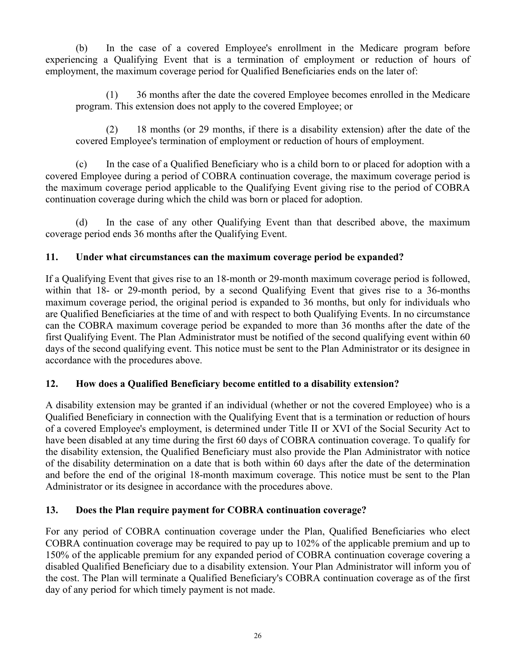(b) In the case of a covered Employee's enrollment in the Medicare program before experiencing a Qualifying Event that is a termination of employment or reduction of hours of employment, the maximum coverage period for Qualified Beneficiaries ends on the later of:

(1) 36 months after the date the covered Employee becomes enrolled in the Medicare program. This extension does not apply to the covered Employee; or

(2) 18 months (or 29 months, if there is a disability extension) after the date of the covered Employee's termination of employment or reduction of hours of employment.

(c) In the case of a Qualified Beneficiary who is a child born to or placed for adoption with a covered Employee during a period of COBRA continuation coverage, the maximum coverage period is the maximum coverage period applicable to the Qualifying Event giving rise to the period of COBRA continuation coverage during which the child was born or placed for adoption.

(d) In the case of any other Qualifying Event than that described above, the maximum coverage period ends 36 months after the Qualifying Event.

# **11. Under what circumstances can the maximum coverage period be expanded?**

If a Qualifying Event that gives rise to an 18-month or 29-month maximum coverage period is followed, within that 18- or 29-month period, by a second Qualifying Event that gives rise to a 36-months maximum coverage period, the original period is expanded to 36 months, but only for individuals who are Qualified Beneficiaries at the time of and with respect to both Qualifying Events. In no circumstance can the COBRA maximum coverage period be expanded to more than 36 months after the date of the first Qualifying Event. The Plan Administrator must be notified of the second qualifying event within 60 days of the second qualifying event. This notice must be sent to the Plan Administrator or its designee in accordance with the procedures above.

# **12. How does a Qualified Beneficiary become entitled to a disability extension?**

A disability extension may be granted if an individual (whether or not the covered Employee) who is a Qualified Beneficiary in connection with the Qualifying Event that is a termination or reduction of hours of a covered Employee's employment, is determined under Title II or XVI of the Social Security Act to have been disabled at any time during the first 60 days of COBRA continuation coverage. To qualify for the disability extension, the Qualified Beneficiary must also provide the Plan Administrator with notice of the disability determination on a date that is both within 60 days after the date of the determination and before the end of the original 18-month maximum coverage. This notice must be sent to the Plan Administrator or its designee in accordance with the procedures above.

# **13. Does the Plan require payment for COBRA continuation coverage?**

For any period of COBRA continuation coverage under the Plan, Qualified Beneficiaries who elect COBRA continuation coverage may be required to pay up to 102% of the applicable premium and up to 150% of the applicable premium for any expanded period of COBRA continuation coverage covering a disabled Qualified Beneficiary due to a disability extension. Your Plan Administrator will inform you of the cost. The Plan will terminate a Qualified Beneficiary's COBRA continuation coverage as of the first day of any period for which timely payment is not made.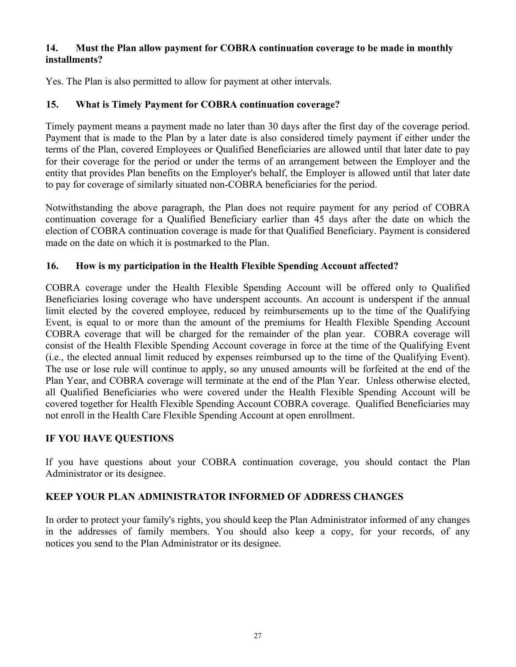### **14. Must the Plan allow payment for COBRA continuation coverage to be made in monthly installments?**

Yes. The Plan is also permitted to allow for payment at other intervals.

# **15. What is Timely Payment for COBRA continuation coverage?**

Timely payment means a payment made no later than 30 days after the first day of the coverage period. Payment that is made to the Plan by a later date is also considered timely payment if either under the terms of the Plan, covered Employees or Qualified Beneficiaries are allowed until that later date to pay for their coverage for the period or under the terms of an arrangement between the Employer and the entity that provides Plan benefits on the Employer's behalf, the Employer is allowed until that later date to pay for coverage of similarly situated non-COBRA beneficiaries for the period.

Notwithstanding the above paragraph, the Plan does not require payment for any period of COBRA continuation coverage for a Qualified Beneficiary earlier than 45 days after the date on which the election of COBRA continuation coverage is made for that Qualified Beneficiary. Payment is considered made on the date on which it is postmarked to the Plan.

# **16. How is my participation in the Health Flexible Spending Account affected?**

COBRA coverage under the Health Flexible Spending Account will be offered only to Qualified Beneficiaries losing coverage who have underspent accounts. An account is underspent if the annual limit elected by the covered employee, reduced by reimbursements up to the time of the Qualifying Event, is equal to or more than the amount of the premiums for Health Flexible Spending Account COBRA coverage that will be charged for the remainder of the plan year. COBRA coverage will consist of the Health Flexible Spending Account coverage in force at the time of the Qualifying Event (i.e., the elected annual limit reduced by expenses reimbursed up to the time of the Qualifying Event). The use or lose rule will continue to apply, so any unused amounts will be forfeited at the end of the Plan Year, and COBRA coverage will terminate at the end of the Plan Year. Unless otherwise elected, all Qualified Beneficiaries who were covered under the Health Flexible Spending Account will be covered together for Health Flexible Spending Account COBRA coverage. Qualified Beneficiaries may not enroll in the Health Care Flexible Spending Account at open enrollment.

# **IF YOU HAVE QUESTIONS**

If you have questions about your COBRA continuation coverage, you should contact the Plan Administrator or its designee.

# **KEEP YOUR PLAN ADMINISTRATOR INFORMED OF ADDRESS CHANGES**

In order to protect your family's rights, you should keep the Plan Administrator informed of any changes in the addresses of family members. You should also keep a copy, for your records, of any notices you send to the Plan Administrator or its designee.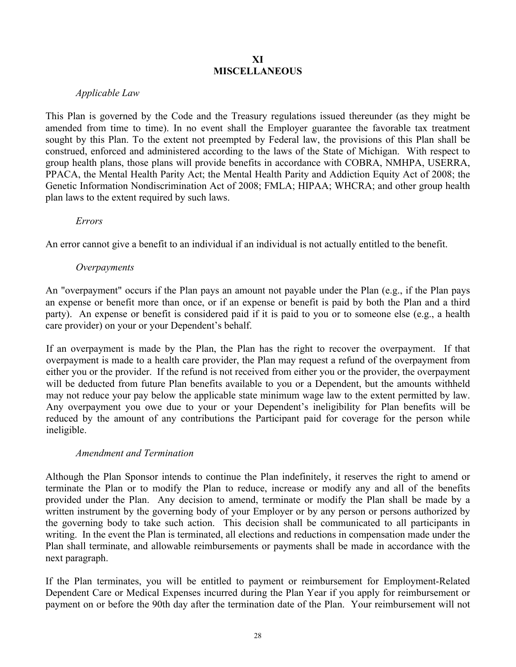#### **XI MISCELLANEOUS**

### *Applicable Law*

This Plan is governed by the Code and the Treasury regulations issued thereunder (as they might be amended from time to time). In no event shall the Employer guarantee the favorable tax treatment sought by this Plan. To the extent not preempted by Federal law, the provisions of this Plan shall be construed, enforced and administered according to the laws of the State of Michigan. With respect to group health plans, those plans will provide benefits in accordance with COBRA, NMHPA, USERRA, PPACA, the Mental Health Parity Act; the Mental Health Parity and Addiction Equity Act of 2008; the Genetic Information Nondiscrimination Act of 2008; FMLA; HIPAA; WHCRA; and other group health plan laws to the extent required by such laws.

#### *Errors*

An error cannot give a benefit to an individual if an individual is not actually entitled to the benefit.

#### *Overpayments*

An "overpayment" occurs if the Plan pays an amount not payable under the Plan (e.g., if the Plan pays an expense or benefit more than once, or if an expense or benefit is paid by both the Plan and a third party). An expense or benefit is considered paid if it is paid to you or to someone else (e.g., a health care provider) on your or your Dependent's behalf.

If an overpayment is made by the Plan, the Plan has the right to recover the overpayment. If that overpayment is made to a health care provider, the Plan may request a refund of the overpayment from either you or the provider. If the refund is not received from either you or the provider, the overpayment will be deducted from future Plan benefits available to you or a Dependent, but the amounts withheld may not reduce your pay below the applicable state minimum wage law to the extent permitted by law. Any overpayment you owe due to your or your Dependent's ineligibility for Plan benefits will be reduced by the amount of any contributions the Participant paid for coverage for the person while ineligible.

#### *Amendment and Termination*

Although the Plan Sponsor intends to continue the Plan indefinitely, it reserves the right to amend or terminate the Plan or to modify the Plan to reduce, increase or modify any and all of the benefits provided under the Plan. Any decision to amend, terminate or modify the Plan shall be made by a written instrument by the governing body of your Employer or by any person or persons authorized by the governing body to take such action. This decision shall be communicated to all participants in writing. In the event the Plan is terminated, all elections and reductions in compensation made under the Plan shall terminate, and allowable reimbursements or payments shall be made in accordance with the next paragraph.

If the Plan terminates, you will be entitled to payment or reimbursement for Employment-Related Dependent Care or Medical Expenses incurred during the Plan Year if you apply for reimbursement or payment on or before the 90th day after the termination date of the Plan. Your reimbursement will not